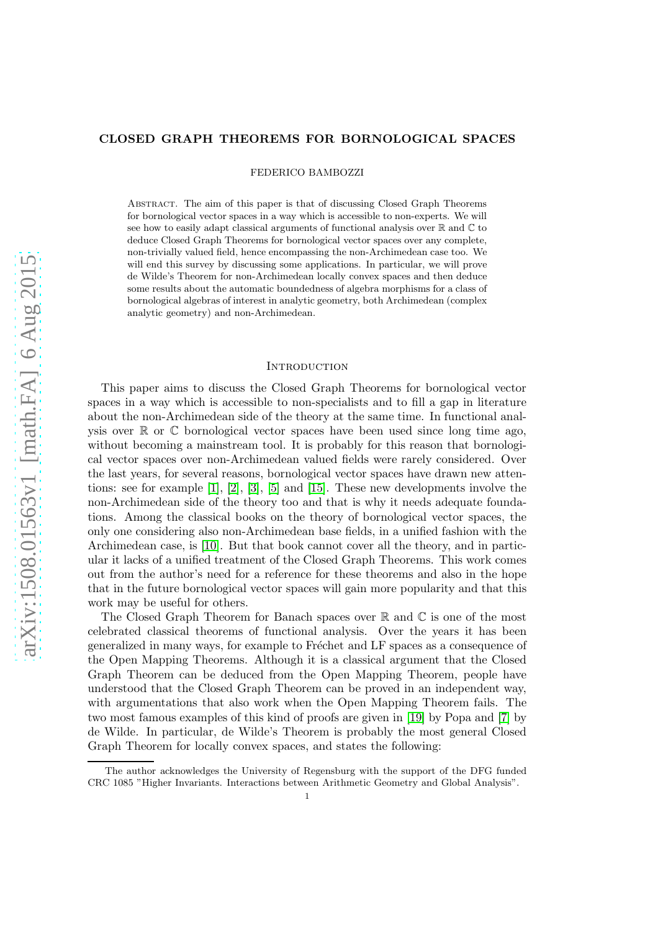# CLOSED GRAPH THEOREMS FOR BORNOLOGICAL SPACES

FEDERICO BAMBOZZI

Abstract. The aim of this paper is that of discussing Closed Graph Theorems for bornological vector spaces in a way which is accessible to non-experts. We will see how to easily adapt classical arguments of functional analysis over  $\mathbb R$  and  $\mathbb C$  to deduce Closed Graph Theorems for bornological vector spaces over any complete, non-trivially valued field, hence encompassing the non-Archimedean case too. We will end this survey by discussing some applications. In particular, we will prove de Wilde's Theorem for non-Archimedean locally convex spaces and then deduce some results about the automatic boundedness of algebra morphisms for a class of bornological algebras of interest in analytic geometry, both Archimedean (complex analytic geometry) and non-Archimedean.

### **INTRODUCTION**

This paper aims to discuss the Closed Graph Theorems for bornological vector spaces in a way which is accessible to non-specialists and to fill a gap in literature about the non-Archimedean side of the theory at the same time. In functional analysis over  $\mathbb R$  or  $\mathbb C$  bornological vector spaces have been used since long time ago, without becoming a mainstream tool. It is probably for this reason that bornological vector spaces over non-Archimedean valued fields were rarely considered. Over the last years, for several reasons, bornological vector spaces have drawn new attentions: see for example [\[1\]](#page-26-0), [\[2\]](#page-26-1), [\[3\]](#page-26-2), [\[5\]](#page-26-3) and [\[15\]](#page-27-0). These new developments involve the non-Archimedean side of the theory too and that is why it needs adequate foundations. Among the classical books on the theory of bornological vector spaces, the only one considering also non-Archimedean base fields, in a unified fashion with the Archimedean case, is [\[10\]](#page-26-4). But that book cannot cover all the theory, and in particular it lacks of a unified treatment of the Closed Graph Theorems. This work comes out from the author's need for a reference for these theorems and also in the hope that in the future bornological vector spaces will gain more popularity and that this work may be useful for others.

The Closed Graph Theorem for Banach spaces over  $\mathbb R$  and  $\mathbb C$  is one of the most celebrated classical theorems of functional analysis. Over the years it has been generalized in many ways, for example to Fréchet and LF spaces as a consequence of the Open Mapping Theorems. Although it is a classical argument that the Closed Graph Theorem can be deduced from the Open Mapping Theorem, people have understood that the Closed Graph Theorem can be proved in an independent way, with argumentations that also work when the Open Mapping Theorem fails. The two most famous examples of this kind of proofs are given in [\[19\]](#page-27-1) by Popa and [\[7\]](#page-26-5) by de Wilde. In particular, de Wilde's Theorem is probably the most general Closed Graph Theorem for locally convex spaces, and states the following:

The author acknowledges the University of Regensburg with the support of the DFG funded CRC 1085 "Higher Invariants. Interactions between Arithmetic Geometry and Global Analysis". 1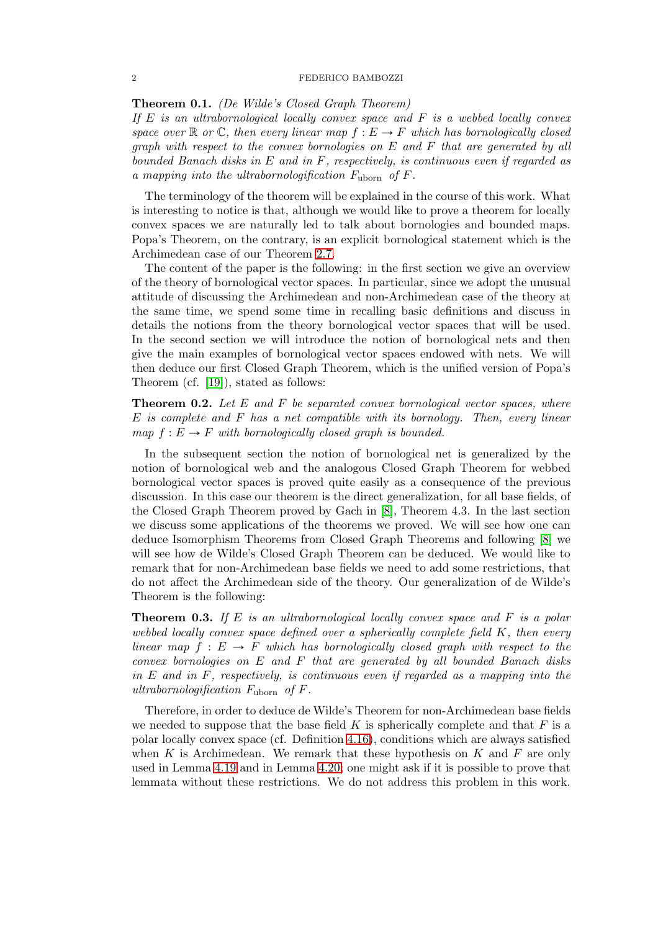## 2 FEDERICO BAMBOZZI

Theorem 0.1. (De Wilde's Closed Graph Theorem)

If  $E$  is an ultrabornological locally convex space and  $F$  is a webbed locally convex space over  $\mathbb R$  or  $\mathbb C$ , then every linear map  $f : E \to F$  which has bornologically closed graph with respect to the convex bornologies on E and F that are generated by all bounded Banach disks in  $E$  and in  $F$ , respectively, is continuous even if regarded as a mapping into the ultrabornologification  $F_{\text{uborn}}$  of  $F$ .

The terminology of the theorem will be explained in the course of this work. What is interesting to notice is that, although we would like to prove a theorem for locally convex spaces we are naturally led to talk about bornologies and bounded maps. Popa's Theorem, on the contrary, is an explicit bornological statement which is the Archimedean case of our Theorem [2.7.](#page-12-0)

The content of the paper is the following: in the first section we give an overview of the theory of bornological vector spaces. In particular, since we adopt the unusual attitude of discussing the Archimedean and non-Archimedean case of the theory at the same time, we spend some time in recalling basic definitions and discuss in details the notions from the theory bornological vector spaces that will be used. In the second section we will introduce the notion of bornological nets and then give the main examples of bornological vector spaces endowed with nets. We will then deduce our first Closed Graph Theorem, which is the unified version of Popa's Theorem (cf. [\[19\]](#page-27-1)), stated as follows:

**Theorem 0.2.** Let  $E$  and  $F$  be separated convex bornological vector spaces, where E is complete and F has a net compatible with its bornology. Then, every linear map  $f : E \to F$  with bornologically closed graph is bounded.

In the subsequent section the notion of bornological net is generalized by the notion of bornological web and the analogous Closed Graph Theorem for webbed bornological vector spaces is proved quite easily as a consequence of the previous discussion. In this case our theorem is the direct generalization, for all base fields, of the Closed Graph Theorem proved by Gach in [\[8\]](#page-26-6), Theorem 4.3. In the last section we discuss some applications of the theorems we proved. We will see how one can deduce Isomorphism Theorems from Closed Graph Theorems and following [\[8\]](#page-26-6) we will see how de Wilde's Closed Graph Theorem can be deduced. We would like to remark that for non-Archimedean base fields we need to add some restrictions, that do not affect the Archimedean side of the theory. Our generalization of de Wilde's Theorem is the following:

**Theorem 0.3.** If E is an ultrabornological locally convex space and F is a polar webbed locally convex space defined over a spherically complete field K, then every linear map  $f : E \to F$  which has bornologically closed graph with respect to the  $convex\,\,bornologies\,\,on\,\,E\,\,and\,\,F\,\,that\,\,are\,\,generated\,\,by\,\,all\,\,bounded\,\,Banach\,\,disks$ in  $E$  and in  $F$ , respectively, is continuous even if regarded as a mapping into the ultrabornologification  $F_{\text{uborn}}$  of  $F$ .

Therefore, in order to deduce de Wilde's Theorem for non-Archimedean base fields we needed to suppose that the base field K is spherically complete and that  $F$  is a polar locally convex space (cf. Definition [4.16\)](#page-21-0), conditions which are always satisfied when K is Archimedean. We remark that these hypothesis on K and F are only used in Lemma [4.19](#page-22-0) and in Lemma [4.20;](#page-22-1) one might ask if it is possible to prove that lemmata without these restrictions. We do not address this problem in this work.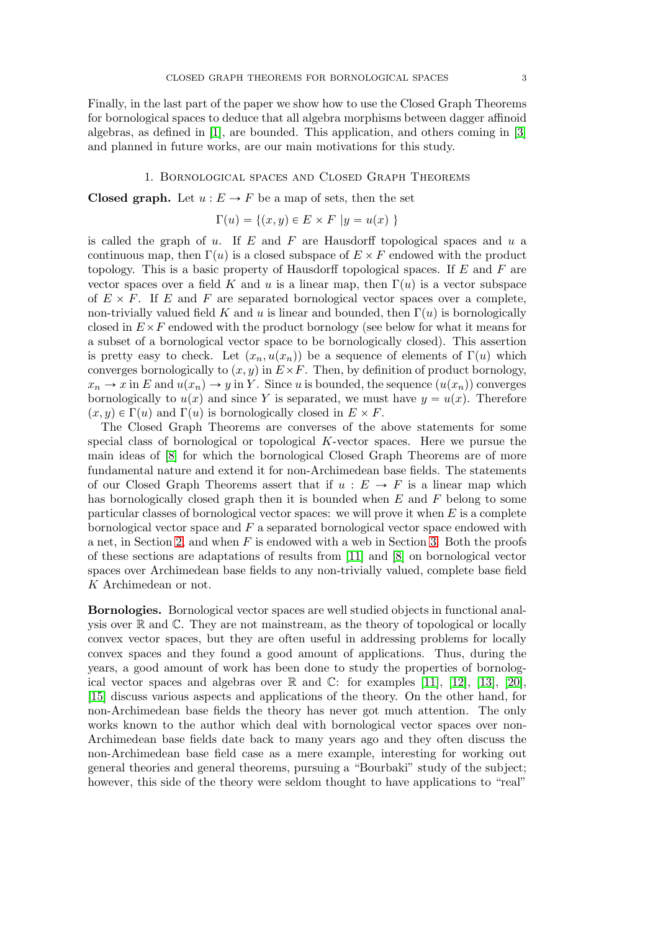Finally, in the last part of the paper we show how to use the Closed Graph Theorems for bornological spaces to deduce that all algebra morphisms between dagger affinoid algebras, as defined in [\[1\]](#page-26-0), are bounded. This application, and others coming in [\[3\]](#page-26-2) and planned in future works, are our main motivations for this study.

### 1. Bornological spaces and Closed Graph Theorems

**Closed graph.** Let  $u : E \to F$  be a map of sets, then the set

$$
\Gamma(u) = \{(x, y) \in E \times F \mid y = u(x) \}
$$

is called the graph of  $u$ . If  $E$  and  $F$  are Hausdorff topological spaces and  $u$  a continuous map, then  $\Gamma(u)$  is a closed subspace of  $E \times F$  endowed with the product topology. This is a basic property of Hausdorff topological spaces. If  $E$  and  $F$  are vector spaces over a field K and u is a linear map, then  $\Gamma(u)$  is a vector subspace of  $E \times F$ . If E and F are separated bornological vector spaces over a complete, non-trivially valued field K and u is linear and bounded, then  $\Gamma(u)$  is bornologically closed in  $E\times F$  endowed with the product bornology (see below for what it means for a subset of a bornological vector space to be bornologically closed). This assertion is pretty easy to check. Let  $(x_n, u(x_n))$  be a sequence of elements of  $\Gamma(u)$  which converges bornologically to  $(x, y)$  in  $E \times F$ . Then, by definition of product bornology,  $x_n \to x$  in E and  $u(x_n) \to y$  in Y. Since u is bounded, the sequence  $(u(x_n))$  converges bornologically to  $u(x)$  and since Y is separated, we must have  $y = u(x)$ . Therefore  $(x, y) \in \Gamma(u)$  and  $\Gamma(u)$  is bornologically closed in  $E \times F$ .

The Closed Graph Theorems are converses of the above statements for some special class of bornological or topological  $K$ -vector spaces. Here we pursue the main ideas of [\[8\]](#page-26-6) for which the bornological Closed Graph Theorems are of more fundamental nature and extend it for non-Archimedean base fields. The statements of our Closed Graph Theorems assert that if  $u : E \to F$  is a linear map which has bornologically closed graph then it is bounded when  $E$  and  $F$  belong to some particular classes of bornological vector spaces: we will prove it when  $E$  is a complete bornological vector space and  $F$  a separated bornological vector space endowed with a net, in Section [2,](#page-7-0) and when  $F$  is endowed with a web in Section [3.](#page-15-0) Both the proofs of these sections are adaptations of results from [\[11\]](#page-26-7) and [\[8\]](#page-26-6) on bornological vector spaces over Archimedean base fields to any non-trivially valued, complete base field K Archimedean or not.

Bornologies. Bornological vector spaces are well studied objects in functional analysis over R and C. They are not mainstream, as the theory of topological or locally convex vector spaces, but they are often useful in addressing problems for locally convex spaces and they found a good amount of applications. Thus, during the years, a good amount of work has been done to study the properties of bornological vector spaces and algebras over  $\mathbb R$  and  $\mathbb C$ : for examples [\[11\]](#page-26-7), [\[12\]](#page-26-8), [\[13\]](#page-26-9), [\[20\]](#page-27-2), [\[15\]](#page-27-0) discuss various aspects and applications of the theory. On the other hand, for non-Archimedean base fields the theory has never got much attention. The only works known to the author which deal with bornological vector spaces over non-Archimedean base fields date back to many years ago and they often discuss the non-Archimedean base field case as a mere example, interesting for working out general theories and general theorems, pursuing a "Bourbaki" study of the subject; however, this side of the theory were seldom thought to have applications to "real"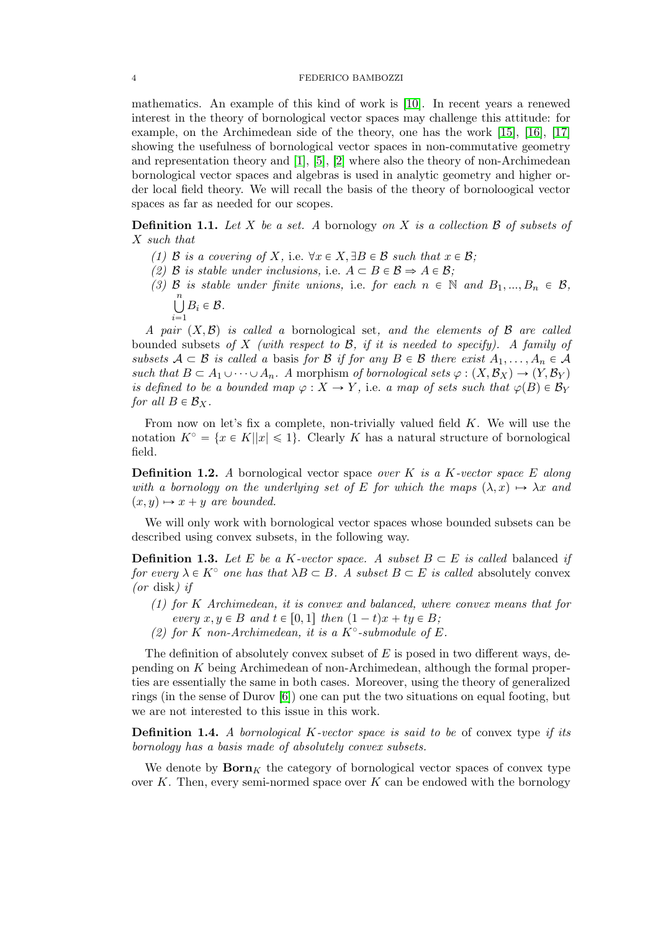mathematics. An example of this kind of work is [\[10\]](#page-26-4). In recent years a renewed interest in the theory of bornological vector spaces may challenge this attitude: for example, on the Archimedean side of the theory, one has the work [\[15\]](#page-27-0), [\[16\]](#page-27-3), [\[17\]](#page-27-4) showing the usefulness of bornological vector spaces in non-commutative geometry and representation theory and [\[1\]](#page-26-0), [\[5\]](#page-26-3), [\[2\]](#page-26-1) where also the theory of non-Archimedean bornological vector spaces and algebras is used in analytic geometry and higher order local field theory. We will recall the basis of the theory of bornoloogical vector spaces as far as needed for our scopes.

**Definition 1.1.** Let X be a set. A bornology on X is a collection  $\beta$  of subsets of X such that

- (1) B is a covering of X, i.e.  $\forall x \in X, \exists B \in \mathcal{B}$  such that  $x \in \mathcal{B}$ ;
- (2) B is stable under inclusions, i.e.  $A \subset B \in \mathcal{B} \Rightarrow A \in \mathcal{B}$ ;
- (3) B is stable under finite unions, i.e. for each  $n \in \mathbb{N}$  and  $B_1, ..., B_n \in \mathcal{B}$ ,  $\binom{n}{k}$  $B_i \in \mathcal{B}$ .
	- $i=1$

A pair  $(X,\mathcal{B})$  is called a bornological set, and the elements of B are called bounded subsets of X (with respect to  $\mathcal{B}$ , if it is needed to specify). A family of subsets  $A \subset B$  is called a basis for B if for any  $B \in B$  there exist  $A_1, \ldots, A_n \in A$ such that  $B \subset A_1 \cup \cdots \cup A_n$ . A morphism of bornological sets  $\varphi : (X, \mathcal{B}_X) \to (Y, \mathcal{B}_Y)$ is defined to be a bounded map  $\varphi : X \to Y$ , i.e. a map of sets such that  $\varphi(B) \in \mathcal{B}_Y$ for all  $B \in \mathcal{B}_X$ .

From now on let's fix a complete, non-trivially valued field  $K$ . We will use the notation  $K^{\circ} = \{x \in K | |x| \leq 1\}$ . Clearly K has a natural structure of bornological field.

**Definition 1.2.** A bornological vector space over K is a K-vector space E along with a bornology on the underlying set of E for which the maps  $(\lambda, x) \mapsto \lambda x$  and  $(x, y) \mapsto x + y$  are bounded.

We will only work with bornological vector spaces whose bounded subsets can be described using convex subsets, in the following way.

**Definition 1.3.** Let E be a K-vector space. A subset  $B \subset E$  is called balanced if for every  $\lambda \in K^{\circ}$  one has that  $\lambda B \subset B$ . A subset  $B \subset E$  is called absolutely convex (or disk) if

- (1) for K Archimedean, it is convex and balanced, where convex means that for every  $x, y \in B$  and  $t \in [0, 1]$  then  $(1 - t)x + ty \in B$ ;
- (2) for K non-Archimedean, it is a K°-submodule of E.

The definition of absolutely convex subset of  $E$  is posed in two different ways, depending on K being Archimedean of non-Archimedean, although the formal properties are essentially the same in both cases. Moreover, using the theory of generalized rings (in the sense of Durov [\[6\]](#page-26-10)) one can put the two situations on equal footing, but we are not interested to this issue in this work.

**Definition 1.4.** A bornological K-vector space is said to be of convex type if its bornology has a basis made of absolutely convex subsets.

We denote by  $\mathbf{Born}_K$  the category of bornological vector spaces of convex type over  $K$ . Then, every semi-normed space over  $K$  can be endowed with the bornology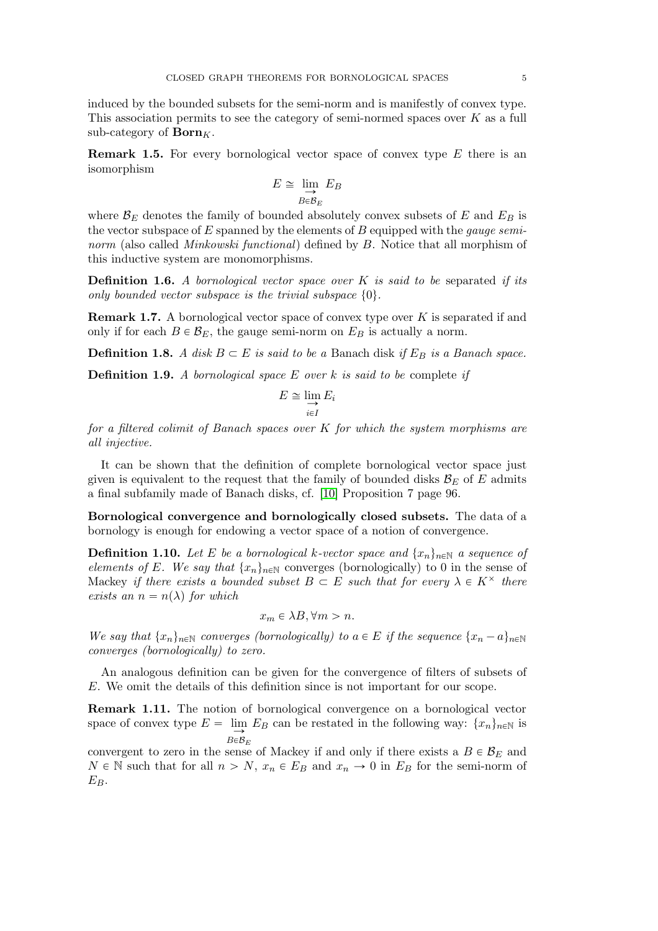induced by the bounded subsets for the semi-norm and is manifestly of convex type. This association permits to see the category of semi-normed spaces over  $K$  as a full sub-category of  $\mathbf{Born}_K$ .

**Remark 1.5.** For every bornological vector space of convex type  $E$  there is an isomorphism

$$
E \cong \varinjlim_{B \in \mathcal{B}_E} E_B
$$

where  $\mathcal{B}_E$  denotes the family of bounded absolutely convex subsets of E and  $E_B$  is the vector subspace of  $E$  spanned by the elements of  $B$  equipped with the *gauge semi*norm (also called *Minkowski functional*) defined by B. Notice that all morphism of this inductive system are monomorphisms.

<span id="page-4-0"></span>**Definition 1.6.** A bornological vector space over K is said to be separated if its only bounded vector subspace is the trivial subspace  $\{0\}$ .

**Remark 1.7.** A bornological vector space of convex type over  $K$  is separated if and only if for each  $B \in \mathcal{B}_E$ , the gauge semi-norm on  $E_B$  is actually a norm.

**Definition 1.8.** A disk  $B \subset E$  is said to be a Banach disk if  $E_B$  is a Banach space.

**Definition 1.9.** A bornological space  $E$  over  $k$  is said to be complete if

$$
E \cong \lim_{i \in I} E_i
$$

for a filtered colimit of Banach spaces over K for which the system morphisms are all injective.

It can be shown that the definition of complete bornological vector space just given is equivalent to the request that the family of bounded disks  $\mathcal{B}_E$  of E admits a final subfamily made of Banach disks, cf. [\[10\]](#page-26-4) Proposition 7 page 96.

Bornological convergence and bornologically closed subsets. The data of a bornology is enough for endowing a vector space of a notion of convergence.

<span id="page-4-1"></span>**Definition 1.10.** Let E be a bornological k-vector space and  $\{x_n\}_{n\in\mathbb{N}}$  a sequence of elements of E. We say that  $\{x_n\}_{n\in\mathbb{N}}$  converges (bornologically) to 0 in the sense of Mackey if there exists a bounded subset  $B \subset E$  such that for every  $\lambda \in K^{\times}$  there exists an  $n = n(\lambda)$  for which

$$
x_m \in \lambda B, \forall m > n.
$$

We say that  $\{x_n\}_{n\in\mathbb{N}}$  converges (bornologically) to  $a \in E$  if the sequence  $\{x_n - a\}_{n\in\mathbb{N}}$ converges (bornologically) to zero.

An analogous definition can be given for the convergence of filters of subsets of E. We omit the details of this definition since is not important for our scope.

Remark 1.11. The notion of bornological convergence on a bornological vector space of convex type  $E = \lim_{n \to \infty} E_B$  can be restated in the following way:  $\{x_n\}_{n \in \mathbb{N}}$  is  $B \in \mathcal{B}_E$ 

convergent to zero in the sense of Mackey if and only if there exists a  $B \in \mathcal{B}_E$  and  $N \in \mathbb{N}$  such that for all  $n > N$ ,  $x_n \in E_B$  and  $x_n \to 0$  in  $E_B$  for the semi-norm of  $E_B$ .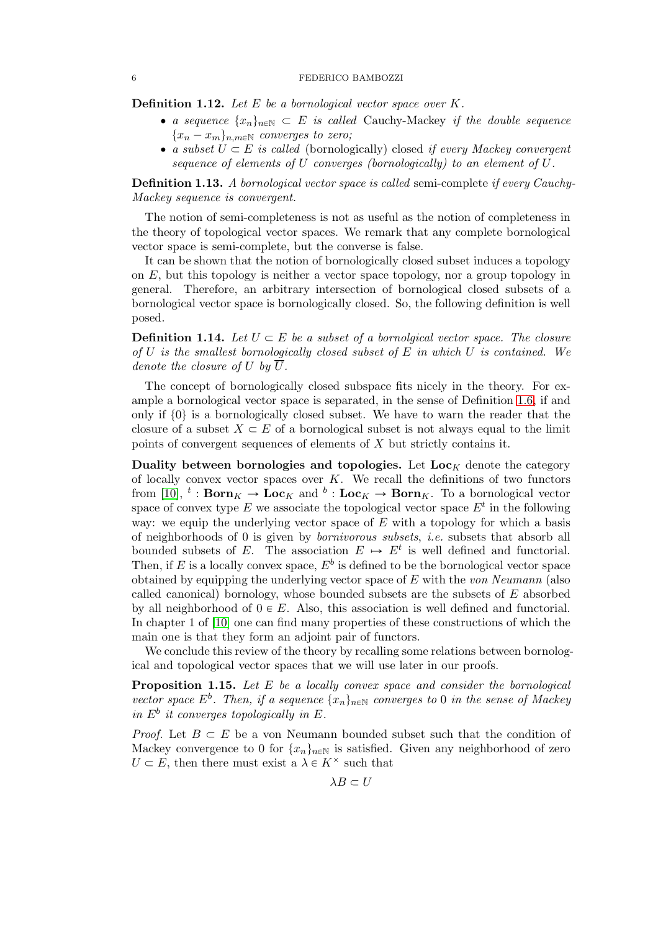## 6 FEDERICO BAMBOZZI

**Definition 1.12.** Let  $E$  be a bornological vector space over  $K$ .

- a sequence  $\{x_n\}_{n\in\mathbb{N}}\subset E$  is called Cauchy-Mackey if the double sequence  ${x_n - x_m}_{n,m \in \mathbb{N}}$  converges to zero;
- a subset  $U \subset E$  is called (bornologically) closed if every Mackey convergent sequence of elements of U converges (bornologically) to an element of U.

**Definition 1.13.** A bornological vector space is called semi-complete if every Cauchy-Mackey sequence is convergent.

The notion of semi-completeness is not as useful as the notion of completeness in the theory of topological vector spaces. We remark that any complete bornological vector space is semi-complete, but the converse is false.

It can be shown that the notion of bornologically closed subset induces a topology on  $E$ , but this topology is neither a vector space topology, nor a group topology in general. Therefore, an arbitrary intersection of bornological closed subsets of a bornological vector space is bornologically closed. So, the following definition is well posed.

**Definition 1.14.** Let  $U \subset E$  be a subset of a bornolatical vector space. The closure of  $U$  is the smallest bornologically closed subset of  $E$  in which  $U$  is contained. We denote the closure of U by  $\overline{U}$ .

The concept of bornologically closed subspace fits nicely in the theory. For example a bornological vector space is separated, in the sense of Definition [1.6,](#page-4-0) if and only if  $\{0\}$  is a bornologically closed subset. We have to warn the reader that the closure of a subset  $X \subseteq E$  of a bornological subset is not always equal to the limit points of convergent sequences of elements of X but strictly contains it.

Duality between bornologies and topologies. Let  $Loc_K$  denote the category of locally convex vector spaces over  $K$ . We recall the definitions of two functors from [\[10\]](#page-26-4),  $^t$ : **Born**<sub>K</sub>  $\rightarrow$  **Loc**<sub>K</sub> and  $^b$ : **Loc**<sub>K</sub>  $\rightarrow$  **Born**<sub>K</sub>. To a bornological vector space of convex type E we associate the topological vector space  $E^t$  in the following way: we equip the underlying vector space of  $E$  with a topology for which a basis of neighborhoods of 0 is given by bornivorous subsets, i.e. subsets that absorb all bounded subsets of E. The association  $E \rightarrow E^t$  is well defined and functorial. Then, if E is a locally convex space,  $E^b$  is defined to be the bornological vector space obtained by equipping the underlying vector space of  $E$  with the von Neumann (also called canonical) bornology, whose bounded subsets are the subsets of E absorbed by all neighborhood of  $0 \in E$ . Also, this association is well defined and functorial. In chapter 1 of [\[10\]](#page-26-4) one can find many properties of these constructions of which the main one is that they form an adjoint pair of functors.

We conclude this review of the theory by recalling some relations between bornological and topological vector spaces that we will use later in our proofs.

<span id="page-5-0"></span>**Proposition 1.15.** Let  $E$  be a locally convex space and consider the bornological vector space  $E^b$ . Then, if a sequence  $\{x_n\}_{n\in\mathbb{N}}$  converges to 0 in the sense of Mackey in  $E^b$  it converges topologically in E.

*Proof.* Let  $B \subset E$  be a von Neumann bounded subset such that the condition of Mackey convergence to 0 for  $\{x_n\}_{n\in\mathbb{N}}$  is satisfied. Given any neighborhood of zero  $U \subset E$ , then there must exist a  $\lambda \in K^{\times}$  such that

 $\lambda B \subset U$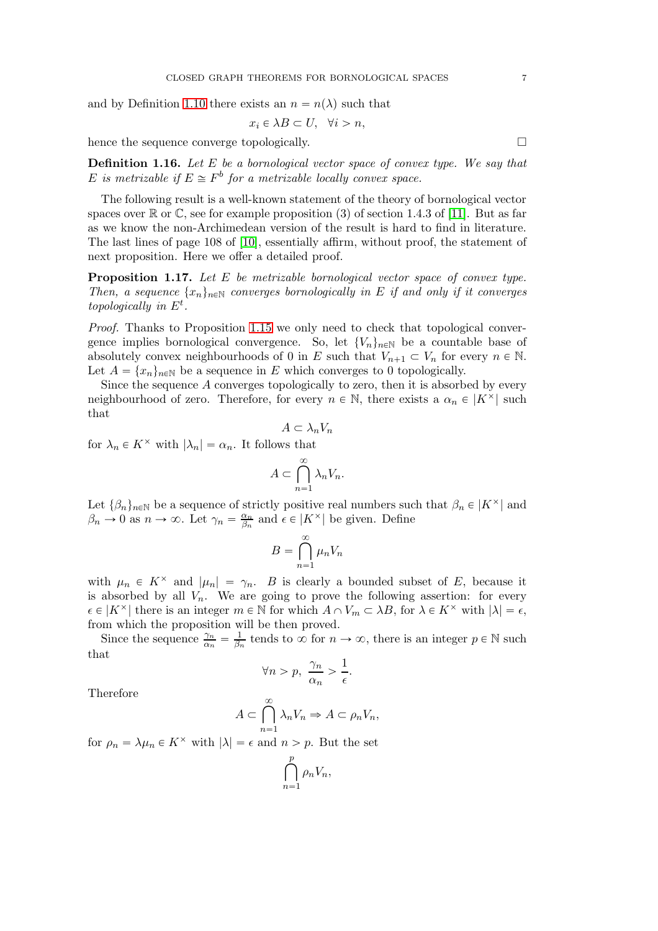and by Definition [1.10](#page-4-1) there exists an  $n = n(\lambda)$  such that

$$
x_i \in \lambda B \subset U, \quad \forall i > n,
$$

hence the sequence converge topologically.

**Definition 1.16.** Let  $E$  be a bornological vector space of convex type. We say that E is metrizable if  $E \cong F^b$  for a metrizable locally convex space.

The following result is a well-known statement of the theory of bornological vector spaces over  $\mathbb R$  or  $\mathbb C$ , see for example proposition (3) of section 1.4.3 of [\[11\]](#page-26-7). But as far as we know the non-Archimedean version of the result is hard to find in literature. The last lines of page 108 of [\[10\]](#page-26-4), essentially affirm, without proof, the statement of next proposition. Here we offer a detailed proof.

<span id="page-6-0"></span>**Proposition 1.17.** Let  $E$  be metrizable bornological vector space of convex type. Then, a sequence  $\{x_n\}_{n\in\mathbb{N}}$  converges bornologically in E if and only if it converges topologically in  $E^t$ .

Proof. Thanks to Proposition [1.15](#page-5-0) we only need to check that topological convergence implies bornological convergence. So, let  $\{V_n\}_{n\in\mathbb{N}}$  be a countable base of absolutely convex neighbourhoods of 0 in E such that  $V_{n+1} \subset V_n$  for every  $n \in \mathbb{N}$ . Let  $A = \{x_n\}_{n\in\mathbb{N}}$  be a sequence in E which converges to 0 topologically.

Since the sequence A converges topologically to zero, then it is absorbed by every neighbourhood of zero. Therefore, for every  $n \in \mathbb{N}$ , there exists a  $\alpha_n \in |K^{\times}|$  such that

$$
A \subset \lambda_n V_n
$$
\nfor  $\lambda_n \in K^\times$  with  $|\lambda_n| = \alpha_n$ . It follows that

\n
$$
\sum_{n=1}^{\infty} \alpha_n
$$

$$
A \subset \bigcap_{n=1}^{\infty} \lambda_n V_n.
$$

Let  $\{\beta_n\}_{n\in\mathbb{N}}$  be a sequence of strictly positive real numbers such that  $\beta_n \in |K^\times|$  and  $\beta_n \to 0$  as  $n \to \infty$ . Let  $\gamma_n = \frac{\alpha_n}{\beta_n}$  $\frac{\alpha_n}{\beta_n}$  and  $\epsilon \in |K^\times|$  be given. Define

$$
B = \bigcap_{n=1}^{\infty} \mu_n V_n
$$

with  $\mu_n \in K^\times$  and  $|\mu_n| = \gamma_n$ . B is clearly a bounded subset of E, because it is absorbed by all  $V_n$ . We are going to prove the following assertion: for every  $\epsilon \in |K^\times|$  there is an integer  $m \in \mathbb{N}$  for which  $A \cap V_m \subset \lambda B$ , for  $\lambda \in K^\times$  with  $|\lambda| = \epsilon$ , from which the proposition will be then proved.

Since the sequence  $\frac{\gamma_n}{\alpha_n} = \frac{1}{\beta_n}$  $\frac{1}{\beta_n}$  tends to  $\infty$  for  $n \to \infty$ , there is an integer  $p \in \mathbb{N}$  such that

$$
\forall n > p, \ \frac{\gamma_n}{\alpha_n} > \frac{1}{\epsilon}.
$$

Therefore

$$
A \subset \bigcap_{n=1}^{\infty} \lambda_n V_n \Rightarrow A \subset \rho_n V_n,
$$

for  $\rho_n = \lambda \mu_n \in K^\times$  with  $|\lambda| = \epsilon$  and  $n > p$ . But the set

$$
\bigcap_{n=1}^p \rho_n V_n,
$$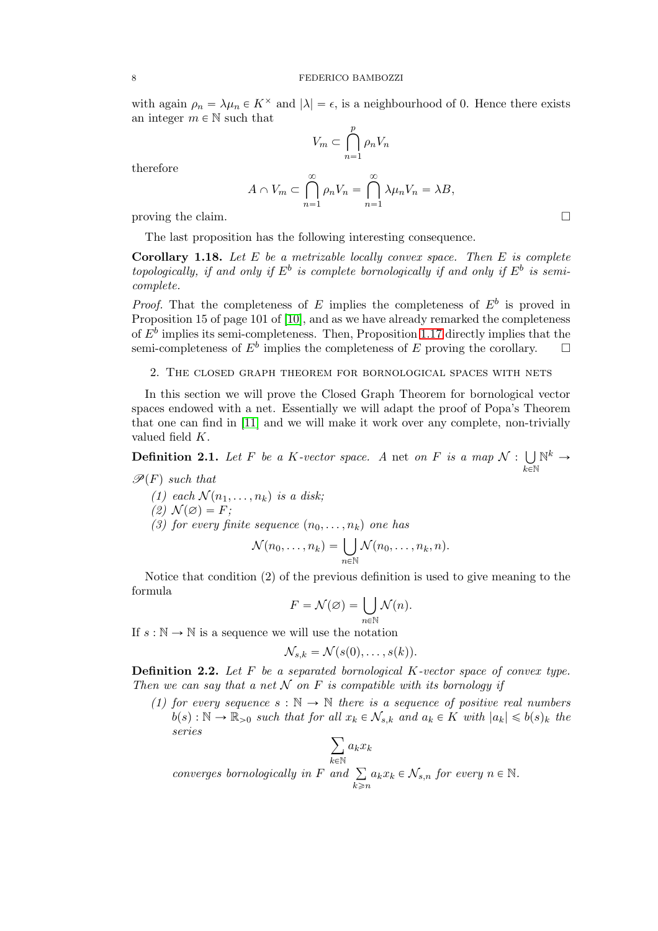with again  $\rho_n = \lambda \mu_n \in K^\times$  and  $|\lambda| = \epsilon$ , is a neighbourhood of 0. Hence there exists an integer  $m \in \mathbb{N}$  such that

$$
V_m \subset \bigcap_{n=1}^p \rho_n V_n
$$

therefore

$$
A \cap V_m \subset \bigcap_{n=1}^{\infty} \rho_n V_n = \bigcap_{n=1}^{\infty} \lambda \mu_n V_n = \lambda B,
$$
  
proving the claim.

The last proposition has the following interesting consequence.

**Corollary 1.18.** Let  $E$  be a metrizable locally convex space. Then  $E$  is complete topologically, if and only if  $E^b$  is complete bornologically if and only if  $E^b$  is semicomplete.

*Proof.* That the completeness of E implies the completeness of  $E^b$  is proved in Proposition 15 of page 101 of [\[10\]](#page-26-4), and as we have already remarked the completeness of  $E^b$  implies its semi-completeness. Then, Proposition [1.17](#page-6-0) directly implies that the semi-completeness of  $E^b$  implies the completeness of E proving the corollary.  $\square$ 

<span id="page-7-0"></span>2. The closed graph theorem for bornological spaces with nets

In this section we will prove the Closed Graph Theorem for bornological vector spaces endowed with a net. Essentially we will adapt the proof of Popa's Theorem that one can find in [\[11\]](#page-26-7) and we will make it work over any complete, non-trivially valued field K.

<span id="page-7-1"></span>**Definition 2.1.** Let F be a K-vector space. A net on F is a map  $\mathcal{N}: \bigcup$  $_{k\in\mathbb{N}}$  $\mathbb{N}^k \rightarrow$ 

$$
\mathcal{P}(F)
$$
 such that

(1) each  $\mathcal{N}(n_1, \ldots, n_k)$  is a disk;  $(2) \mathcal{N}(\varnothing) = F;$ (3) for every finite sequence  $(n_0, \ldots, n_k)$  one has

$$
\mathcal{N}(n_0,\ldots,n_k)=\bigcup_{n\in\mathbb{N}}\mathcal{N}(n_0,\ldots,n_k,n).
$$

Notice that condition  $(2)$  of the previous definition is used to give meaning to the formula

$$
F = \mathcal{N}(\varnothing) = \bigcup_{n \in \mathbb{N}} \mathcal{N}(n).
$$

If  $s : \mathbb{N} \to \mathbb{N}$  is a sequence we will use the notation

$$
\mathcal{N}_{s,k}=\mathcal{N}(s(0),\ldots,s(k)).
$$

<span id="page-7-2"></span>**Definition 2.2.** Let  $F$  be a separated bornological  $K$ -vector space of convex type. Then we can say that a net  $N$  on F is compatible with its bornology if

(1) for every sequence  $s : \mathbb{N} \to \mathbb{N}$  there is a sequence of positive real numbers  $b(s): \mathbb{N} \to \mathbb{R}_{>0}$  such that for all  $x_k \in \mathcal{N}_{s,k}$  and  $a_k \in K$  with  $|a_k| \leqslant b(s)_k$  the series

$$
\sum_{k\in\mathbb{N}}a_kx_k
$$

converges bornologically in F and  $\Sigma$  $k \geq n$  $a_k x_k \in \mathcal{N}_{s,n}$  for every  $n \in \mathbb{N}$ .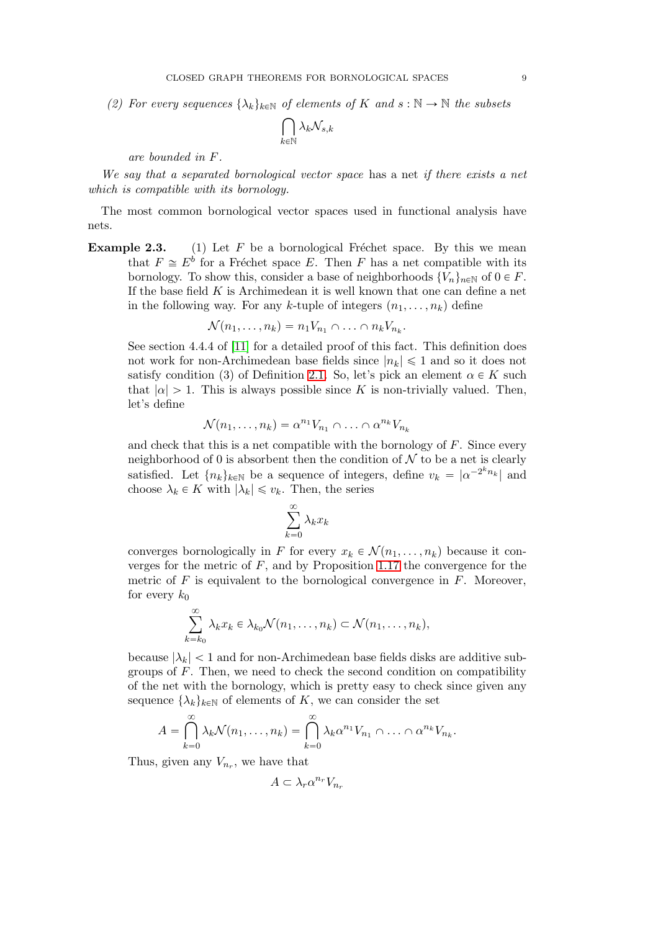(2) For every sequences  $\{\lambda_k\}_{k\in\mathbb{N}}$  of elements of K and  $s : \mathbb{N} \to \mathbb{N}$  the subsets

$$
\bigcap_{k\in\mathbb{N}}\lambda_k\mathcal{N}_{s,k}
$$

are bounded in F.

We say that a separated bornological vector space has a net if there exists a net which is compatible with its bornology.

The most common bornological vector spaces used in functional analysis have nets.

**Example 2.3.** (1) Let  $F$  be a bornological Fréchet space. By this we mean that  $F \cong E^b$  for a Fréchet space E. Then F has a net compatible with its bornology. To show this, consider a base of neighborhoods  $\{V_n\}_{n\in\mathbb{N}}$  of  $0 \in F$ . If the base field  $K$  is Archimedean it is well known that one can define a net in the following way. For any k-tuple of integers  $(n_1, \ldots, n_k)$  define

$$
\mathcal{N}(n_1,\ldots,n_k)=n_1V_{n_1}\cap\ldots\cap n_kV_{n_k}.
$$

See section 4.4.4 of [\[11\]](#page-26-7) for a detailed proof of this fact. This definition does not work for non-Archimedean base fields since  $|n_k| \leq 1$  and so it does not satisfy condition (3) of Definition [2.1.](#page-7-1) So, let's pick an element  $\alpha \in K$  such that  $|\alpha| > 1$ . This is always possible since K is non-trivially valued. Then, let's define

$$
\mathcal{N}(n_1,\ldots,n_k)=\alpha^{n_1}V_{n_1}\cap\ldots\cap\alpha^{n_k}V_{n_k}
$$

and check that this is a net compatible with the bornology of  $F$ . Since every neighborhood of 0 is absorbent then the condition of  $N$  to be a net is clearly satisfied. Let  ${n_k}_{k\in\mathbb{N}}$  be a sequence of integers, define  $v_k = |\alpha^{-2^k n_k}|$  and choose  $\lambda_k \in K$  with  $|\lambda_k| \leq v_k$ . Then, the series

$$
\sum_{k=0}^{\infty} \lambda_k x_k
$$

converges bornologically in F for every  $x_k \in \mathcal{N}(n_1, \ldots, n_k)$  because it converges for the metric of  $F$ , and by Proposition [1.17](#page-6-0) the convergence for the metric of  $F$  is equivalent to the bornological convergence in  $F$ . Moreover, for every  $k_0$ 

$$
\sum_{k=k_0}^{\infty} \lambda_k x_k \in \lambda_{k_0} \mathcal{N}(n_1, \dots, n_k) \subset \mathcal{N}(n_1, \dots, n_k),
$$

because  $|\lambda_k|$  < 1 and for non-Archimedean base fields disks are additive subgroups of  $F$ . Then, we need to check the second condition on compatibility of the net with the bornology, which is pretty easy to check since given any sequence  $\{\lambda_k\}_{k\in\mathbb{N}}$  of elements of K, we can consider the set

$$
A = \bigcap_{k=0}^{\infty} \lambda_k \mathcal{N}(n_1, \dots, n_k) = \bigcap_{k=0}^{\infty} \lambda_k \alpha^{n_1} V_{n_1} \cap \dots \cap \alpha^{n_k} V_{n_k}.
$$

Thus, given any  $V_{n_r}$ , we have that

$$
A \subset \lambda_r \alpha^{n_r} V_{n_r}
$$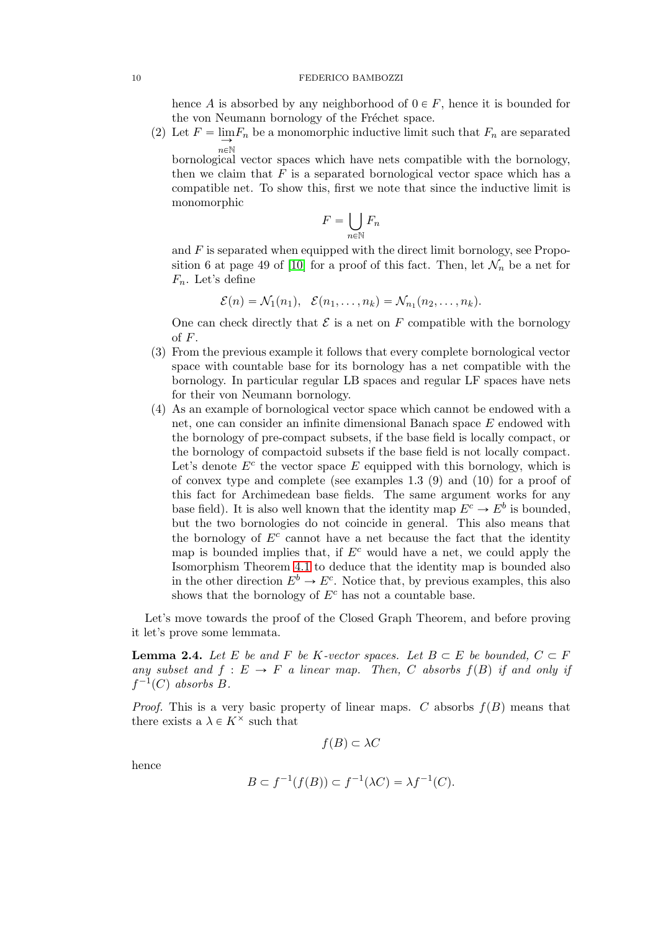hence A is absorbed by any neighborhood of  $0 \in F$ , hence it is bounded for the von Neumann bornology of the Fréchet space.

(2) Let  $F = \lim_{n \to \infty} F_n$  be a monomorphic inductive limit such that  $F_n$  are separated  $n\in\mathbb{N}$ 

bornological vector spaces which have nets compatible with the bornology, then we claim that  $F$  is a separated bornological vector space which has a compatible net. To show this, first we note that since the inductive limit is monomorphic

$$
F = \bigcup_{n \in \mathbb{N}} F_n
$$

and  $F$  is separated when equipped with the direct limit bornology, see Propo-sition 6 at page 49 of [\[10\]](#page-26-4) for a proof of this fact. Then, let  $\mathcal{N}_n$  be a net for  $F_n$ . Let's define

$$
\mathcal{E}(n) = \mathcal{N}_1(n_1), \quad \mathcal{E}(n_1,\ldots,n_k) = \mathcal{N}_{n_1}(n_2,\ldots,n_k).
$$

One can check directly that  $\mathcal E$  is a net on F compatible with the bornology of  $F$ .

- (3) From the previous example it follows that every complete bornological vector space with countable base for its bornology has a net compatible with the bornology. In particular regular LB spaces and regular LF spaces have nets for their von Neumann bornology.
- (4) As an example of bornological vector space which cannot be endowed with a net, one can consider an infinite dimensional Banach space E endowed with the bornology of pre-compact subsets, if the base field is locally compact, or the bornology of compactoid subsets if the base field is not locally compact. Let's denote  $E^c$  the vector space E equipped with this bornology, which is of convex type and complete (see examples 1.3 (9) and (10) for a proof of this fact for Archimedean base fields. The same argument works for any base field). It is also well known that the identity map  $E^c \to E^b$  is bounded, but the two bornologies do not coincide in general. This also means that the bornology of  $E^c$  cannot have a net because the fact that the identity map is bounded implies that, if  $E^c$  would have a net, we could apply the Isomorphism Theorem [4.1](#page-18-0) to deduce that the identity map is bounded also in the other direction  $E^b \to E^c$ . Notice that, by previous examples, this also shows that the bornology of  $E<sup>c</sup>$  has not a countable base.

Let's move towards the proof of the Closed Graph Theorem, and before proving it let's prove some lemmata.

<span id="page-9-0"></span>**Lemma 2.4.** Let E be and F be K-vector spaces. Let  $B \subset E$  be bounded,  $C \subset F$ any subset and  $f: E \to F$  a linear map. Then, C absorbs  $f(B)$  if and only if  $f^{-1}(C)$  absorbs  $B$ .

*Proof.* This is a very basic property of linear maps. C absorbs  $f(B)$  means that there exists a  $\lambda \in K^{\times}$  such that

$$
f(B) \subset \lambda C
$$

hence

$$
B \subset f^{-1}(f(B)) \subset f^{-1}(\lambda C) = \lambda f^{-1}(C).
$$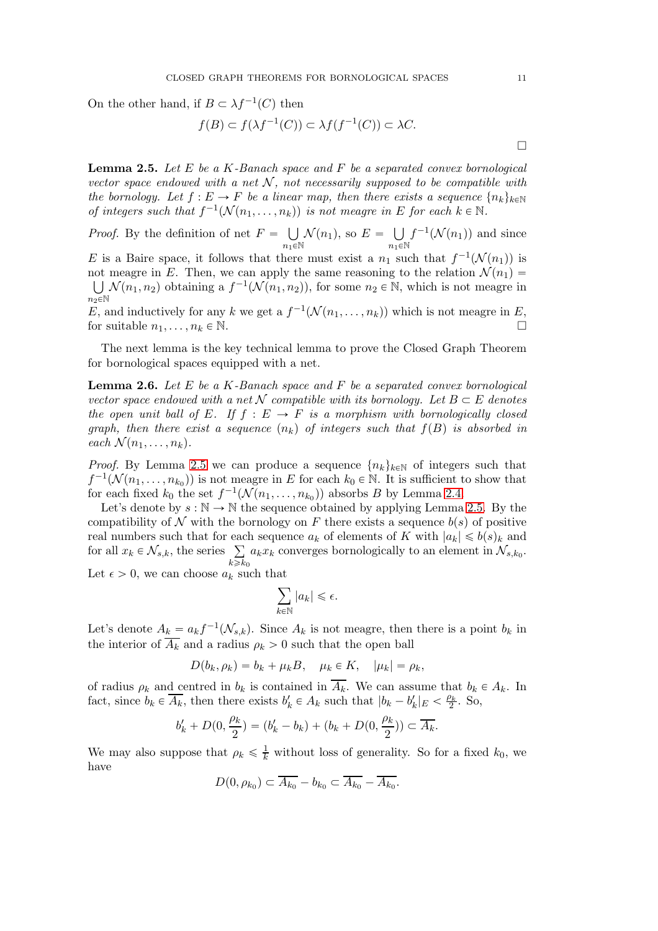On the other hand, if  $B \subset \lambda f^{-1}(C)$  then

$$
f(B) \subset f(\lambda f^{-1}(C)) \subset \lambda f(f^{-1}(C)) \subset \lambda C.
$$

<span id="page-10-0"></span>**Lemma 2.5.** Let E be a K-Banach space and F be a separated convex bornological vector space endowed with a net  $N$ , not necessarily supposed to be compatible with the bornology. Let  $f : E \to F$  be a linear map, then there exists a sequence  $\{n_k\}_{k\in\mathbb{N}}$ of integers such that  $f^{-1}(\mathcal{N}(n_1,\ldots,n_k))$  is not meagre in E for each  $k \in \mathbb{N}$ .

*Proof.* By the definition of net  $F = \bigcup$  $n_1 \in \mathbb{N}$  $\mathcal{N}(n_1)$ , so  $E = \bigcup$  $n_1 \in \mathbb{N}$  $f^{-1}(\mathcal{N}(n_1))$  and since E is a Baire space, it follows that there must exist a  $n_1$  such that  $f^{-1}(\mathcal{N}(n_1))$  is not meagre in E. Then, we can apply the same reasoning to the relation  $\mathcal{N}(n_1)$  =  $\bigcup \mathcal{N}(n_1, n_2)$  obtaining a  $f^{-1}(\mathcal{N}(n_1, n_2))$ , for some  $n_2 \in \mathbb{N}$ , which is not meagre in  $n \geq \mathbb{N}$ E, and inductively for any k we get a  $f^{-1}(\mathcal{N}(n_1, \ldots, n_k))$  which is not meagre in E, for suitable  $n_1, \ldots, n_k \in \mathbb{N}$ .

The next lemma is the key technical lemma to prove the Closed Graph Theorem for bornological spaces equipped with a net.

<span id="page-10-1"></span>**Lemma 2.6.** Let E be a K-Banach space and F be a separated convex bornological vector space endowed with a net N compatible with its bornology. Let  $B \subset E$  denotes the open unit ball of E. If  $f : E \to F$  is a morphism with bornologically closed graph, then there exist a sequence  $(n_k)$  of integers such that  $f(B)$  is absorbed in each  $\mathcal{N}(n_1, \ldots, n_k)$ .

*Proof.* By Lemma [2.5](#page-10-0) we can produce a sequence  $\{n_k\}_{k\in\mathbb{N}}$  of integers such that  $f^{-1}(\mathcal{N}(n_1,\ldots,n_{k_0}))$  is not meagre in E for each  $k_0 \in \mathbb{N}$ . It is sufficient to show that for each fixed  $k_0$  the set  $f^{-1}(\mathcal{N}(n_1,\ldots,n_{k_0}))$  absorbs B by Lemma [2.4.](#page-9-0)

Let's denote by  $s : \mathbb{N} \to \mathbb{N}$  the sequence obtained by applying Lemma [2.5.](#page-10-0) By the compatibility of N with the bornology on F there exists a sequence  $b(s)$  of positive real numbers such that for each sequence  $a_k$  of elements of K with  $|a_k| \leq b(s)_k$  and for all  $x_k \in \mathcal{N}_{s,k}$ , the series  $\sum$  $k \geqslant k_0$  $a_k x_k$  converges bornologically to an element in  $\mathcal{N}_{s,k_0}$ .

Let  $\epsilon > 0$ , we can choose  $a_k$  such that

$$
\sum_{k\in\mathbb{N}} |a_k| \leqslant \epsilon.
$$

Let's denote  $A_k = a_k f^{-1}(\mathcal{N}_{s,k})$ . Since  $A_k$  is not meagre, then there is a point  $b_k$  in the interior of  $\overline{A_k}$  and a radius  $\rho_k > 0$  such that the open ball

$$
D(b_k, \rho_k) = b_k + \mu_k B, \quad \mu_k \in K, \quad |\mu_k| = \rho_k,
$$

of radius  $\rho_k$  and centred in  $b_k$  is contained in  $\overline{A_k}$ . We can assume that  $b_k \in A_k$ . In fact, since  $b_k \in \overline{A_k}$ , then there exists  $b'_k \in A_k$  such that  $|b_k - b'_k|_E < \frac{\rho_k}{2}$ . So,

$$
b'_{k} + D(0, \frac{\rho_{k}}{2}) = (b'_{k} - b_{k}) + (b_{k} + D(0, \frac{\rho_{k}}{2})) \subset \overline{A_{k}}.
$$

We may also suppose that  $\rho_k \leq \frac{1}{k}$  without loss of generality. So for a fixed  $k_0$ , we have

$$
D(0, \rho_{k_0}) \subset \overline{A_{k_0}} - b_{k_0} \subset \overline{A_{k_0}} - \overline{A_{k_0}}.
$$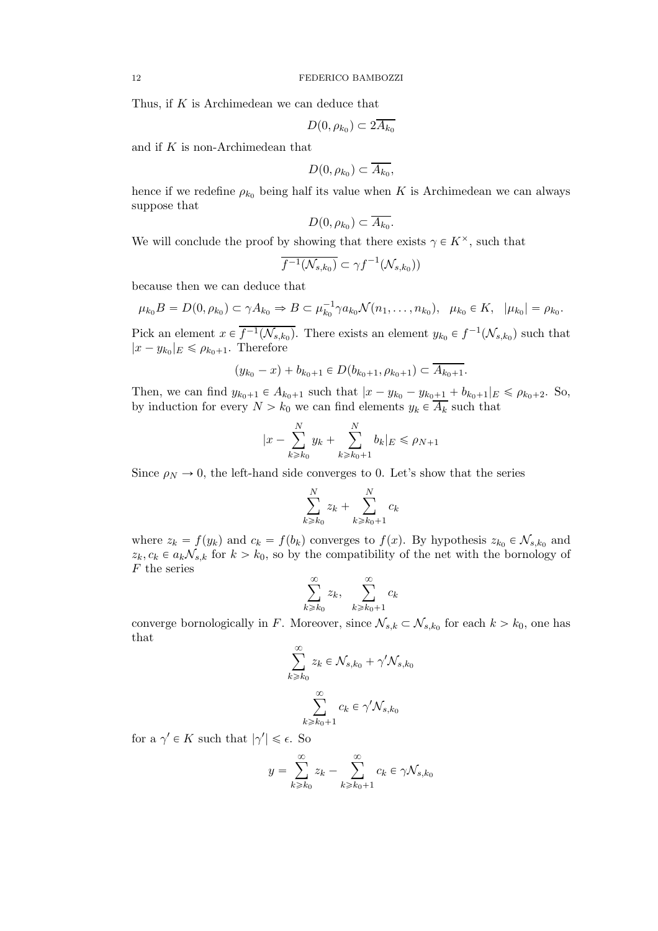Thus, if K is Archimedean we can deduce that

$$
D(0, \rho_{k_0}) \subset 2A_{k_0}
$$

and if K is non-Archimedean that

$$
D(0, \rho_{k_0}) \subset \overline{A_{k_0}},
$$

hence if we redefine  $\rho_{k_0}$  being half its value when K is Archimedean we can always suppose that

$$
D(0, \rho_{k_0}) \subset \overline{A_{k_0}}.
$$

We will conclude the proof by showing that there exists  $\gamma \in K^{\times}$ , such that

$$
\overline{f^{-1}(\mathcal{N}_{s,k_0})} \subset \gamma f^{-1}(\mathcal{N}_{s,k_0}))
$$

because then we can deduce that

$$
\mu_{k_0}B = D(0, \rho_{k_0}) \subset \gamma A_{k_0} \Rightarrow B \subset \mu_{k_0}^{-1} \gamma a_{k_0} \mathcal{N}(n_1, \dots, n_{k_0}), \ \mu_{k_0} \in K, \ |\mu_{k_0}| = \rho_{k_0}.
$$

Pick an element  $x \in \overline{f^{-1}(\mathcal{N}_{s,k_0})}$ . There exists an element  $y_{k_0} \in f^{-1}(\mathcal{N}_{s,k_0})$  such that  $|x - y_{k_0}|_E \le \rho_{k_0+1}$ . Therefore

$$
(y_{k_0} - x) + b_{k_0+1} \in D(b_{k_0+1}, \rho_{k_0+1}) \subset \overline{A_{k_0+1}}.
$$

Then, we can find  $y_{k_0+1} \in A_{k_0+1}$  such that  $|x - y_{k_0} - y_{k_0+1} + b_{k_0+1}|_E \le \rho_{k_0+2}$ . So, by induction for every  $N > k_0$  we can find elements  $y_k \in A_k$  such that

$$
|x - \sum_{k \ge k_0}^{N} y_k + \sum_{k \ge k_0 + 1}^{N} b_k |_{E} \le \rho_{N+1}
$$

Since  $\rho_N \to 0$ , the left-hand side converges to 0. Let's show that the series

$$
\sum_{k\geq k_0}^{N} z_k + \sum_{k\geq k_0+1}^{N} c_k
$$

where  $z_k = f(y_k)$  and  $c_k = f(b_k)$  converges to  $f(x)$ . By hypothesis  $z_{k_0} \in \mathcal{N}_{s,k_0}$  and  $z_k, c_k \in a_k\mathcal{N}_{s,k}$  for  $k > k_0$ , so by the compatibility of the net with the bornology of  $F$  the series

$$
\sum_{k\geqslant k_0}^\infty z_k,\quad \sum_{k\geqslant k_0+1}^\infty c_k
$$

converge bornologically in F. Moreover, since  $\mathcal{N}_{s,k} \subset \mathcal{N}_{s,k_0}$  for each  $k > k_0$ , one has that

$$
\sum_{k \ge k_0}^{\infty} z_k \in \mathcal{N}_{s,k_0} + \gamma' \mathcal{N}_{s,k_0}
$$

$$
\sum_{k \ge k_0+1}^{\infty} c_k \in \gamma' \mathcal{N}_{s,k_0}
$$

for a  $\gamma' \in K$  such that  $|\gamma'| \leq \epsilon$ . So

$$
y = \sum_{k \ge k_0}^{\infty} z_k - \sum_{k \ge k_0 + 1}^{\infty} c_k \in \gamma \mathcal{N}_{s, k_0}
$$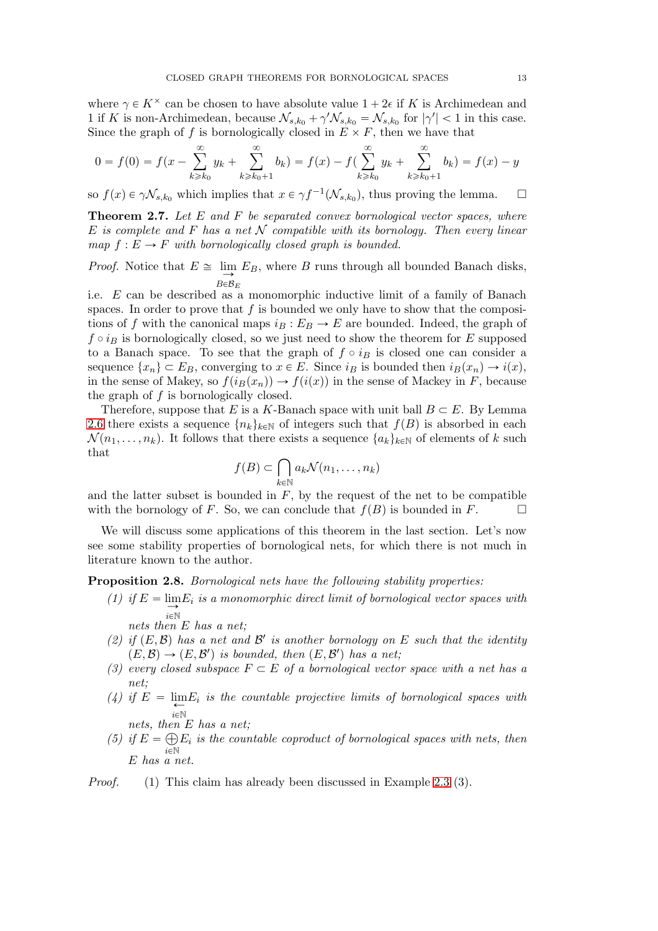where  $\gamma \in K^{\times}$  can be chosen to have absolute value  $1 + 2\epsilon$  if K is Archimedean and 1 if K is non-Archimedean, because  $\mathcal{N}_{s,k_0} + \gamma' \mathcal{N}_{s,k_0} = \mathcal{N}_{s,k_0}$  for  $|\gamma'| < 1$  in this case. Since the graph of f is bornologically closed in  $E \times F$ , then we have that

$$
0 = f(0) = f(x - \sum_{k \ge k_0}^{\infty} y_k + \sum_{k \ge k_0 + 1}^{\infty} b_k) = f(x) - f(\sum_{k \ge k_0}^{\infty} y_k + \sum_{k \ge k_0 + 1}^{\infty} b_k) = f(x) - y
$$

so  $f(x) \in \gamma \mathcal{N}_{s,k_0}$  which implies that  $x \in \gamma f^{-1}(\mathcal{N}_{s,k_0})$ , thus proving the lemma.  $\square$ 

<span id="page-12-0"></span>**Theorem 2.7.** Let  $E$  and  $F$  be separated convex bornological vector spaces, where E is complete and F has a net N compatible with its bornology. Then every linear map  $f : E \to F$  with bornologically closed graph is bounded.

*Proof.* Notice that  $E \cong \lim_{\longrightarrow} E_B$ , where B runs through all bounded Banach disks,  $B \in \mathcal{B}_E$ 

i.e. E can be described as a monomorphic inductive limit of a family of Banach spaces. In order to prove that f is bounded we only have to show that the compositions of f with the canonical maps  $i_B : E_B \to E$  are bounded. Indeed, the graph of  $f \circ i_B$  is bornologically closed, so we just need to show the theorem for E supposed to a Banach space. To see that the graph of  $f \circ i_B$  is closed one can consider a sequence  $\{x_n\} \subset E_B$ , converging to  $x \in E$ . Since  $i_B$  is bounded then  $i_B(x_n) \to i(x)$ , in the sense of Makey, so  $f(i_B(x_n)) \to f(i(x))$  in the sense of Mackey in F, because the graph of f is bornologically closed.

Therefore, suppose that E is a K-Banach space with unit ball  $B \subset E$ . By Lemma [2.6](#page-10-1) there exists a sequence  $\{n_k\}_{k\in\mathbb{N}}$  of integers such that  $f(B)$  is absorbed in each  $\mathcal{N}(n_1, \ldots, n_k)$ . It follows that there exists a sequence  $\{a_k\}_{k\in\mathbb{N}}$  of elements of k such that

$$
f(B) \subset \bigcap_{k \in \mathbb{N}} a_k \mathcal{N}(n_1, \dots, n_k)
$$

and the latter subset is bounded in  $F$ , by the request of the net to be compatible with the bornology of F. So, we can conclude that  $f(B)$  is bounded in F.

We will discuss some applications of this theorem in the last section. Let's now see some stability properties of bornological nets, for which there is not much in literature known to the author.

<span id="page-12-1"></span>**Proposition 2.8.** Bornological nets have the following stability properties:

(1) if  $E = \lim_{n \to \infty} E_i$  is a monomorphic direct limit of bornological vector spaces with  $i\in\mathbb{N}$ 

nets then E has a net;

- (2) if  $(E, \mathcal{B})$  has a net and  $\mathcal{B}'$  is another bornology on E such that the identity  $(E, \mathcal{B}) \rightarrow (E, \mathcal{B}')$  is bounded, then  $(E, \mathcal{B}')$  has a net;
- (3) every closed subspace  $F \subset E$  of a bornological vector space with a net has a net;
- (4) if  $E = \lim_{\leftarrow} E_i$  is the countable projective limits of bornological spaces with  $i\in\mathbb{N}$
- nets, then E has a net; (5) if  $E = \bigoplus$  $\widetilde{i\in\mathbb{N}}$  $E_i$  is the countable coproduct of bornological spaces with nets, then E has a net.
- Proof. (1) This claim has already been discussed in Example 2.3 (3).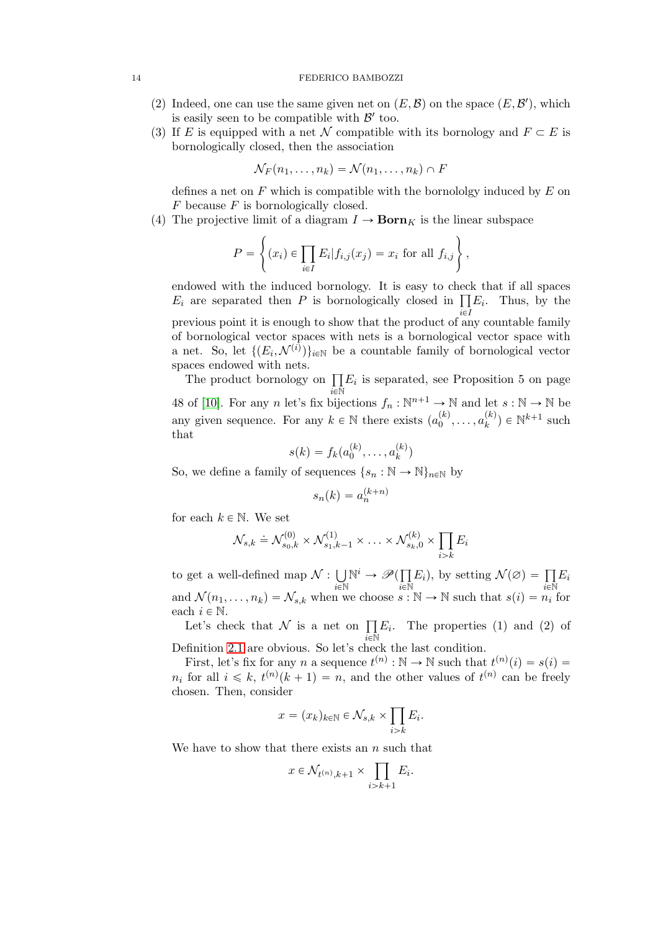#### 14 FEDERICO BAMBOZZI

- (2) Indeed, one can use the same given net on  $(E, \mathcal{B})$  on the space  $(E, \mathcal{B}')$ , which is easily seen to be compatible with  $\mathcal{B}'$  too.
- (3) If E is equipped with a net N compatible with its bornology and  $F \subset E$  is bornologically closed, then the association

$$
\mathcal{N}_F(n_1,\ldots,n_k)=\mathcal{N}(n_1,\ldots,n_k)\cap F
$$

defines a net on  $F$  which is compatible with the bornololgy induced by  $E$  on  $F$  because  $F$  is bornologically closed.

(4) The projective limit of a diagram  $I \to \text{Born}_K$  is the linear subspace

$$
P = \left\{ (x_i) \in \prod_{i \in I} E_i | f_{i,j}(x_j) = x_i \text{ for all } f_{i,j} \right\},\
$$

endowed with the induced bornology. It is easy to check that if all spaces  $E_i$  are separated then P is bornologically closed in  $\prod E_i$ . Thus, by the previous point it is enough to show that the product of any countable family of bornological vector spaces with nets is a bornological vector space with a net. So, let  $\{(E_i, \mathcal{N}^{(i)})\}_{i \in \mathbb{N}}$  be a countable family of bornological vector spaces endowed with nets.

The product bornology on  $\prod E_i$  is separated, see Proposition 5 on page  $\bar{i}$ e $\bar{N}$ 48 of [\[10\]](#page-26-4). For any *n* let's fix bijections  $f_n : \mathbb{N}^{n+1} \to \mathbb{N}$  and let  $s : \mathbb{N} \to \mathbb{N}$  be any given sequence. For any  $k \in \mathbb{N}$  there exists  $(a_0^{(k)}, \ldots, a_k^{(k)})$  $\binom{k}{k}$   $\in \mathbb{N}^{k+1}$  such that

$$
s(k) = f_k(a_0^{(k)}, \dots, a_k^{(k)})
$$

So, we define a family of sequences  $\{s_n : \mathbb{N} \to \mathbb{N}\}_{n \in \mathbb{N}}$  by

$$
s_n(k) = a_n^{(k+n)}
$$

for each  $k \in \mathbb{N}$ . We set

$$
\mathcal{N}_{s,k} \doteq \mathcal{N}_{s_0,k}^{(0)} \times \mathcal{N}_{s_1,k-1}^{(1)} \times \ldots \times \mathcal{N}_{s_k,0}^{(k)} \times \prod_{i>k} E_i
$$

to get a well-defined map  $\mathcal{N}: \bigcup$  $\sum_{i\in\mathbb{N}}$  $\mathbb{N}^i \to \mathscr{P}(\prod)$  $\tilde{i}$ E $\tilde{N}$  $E_i$ , by setting  $\mathcal{N}(\varnothing) = \prod$  $\tilde{i}$ E $\tilde{N}$  $E_i$ and  $\mathcal{N}(n_1, \ldots, n_k) = \mathcal{N}_{s,k}$  when we choose  $s : \mathbb{N} \to \mathbb{N}$  such that  $s(i) = n_i$  for each  $i \in \mathbb{N}$ .

Let's check that  $\mathcal N$  is a net on  $\prod$  $\tilde{i}$ e $\tilde{\mathbb{N}}$  $E_i$ . The properties (1) and (2) of Definition [2.1](#page-7-1) are obvious. So let's check the last condition.

First, let's fix for any n a sequence  $t^{(n)} : \mathbb{N} \to \mathbb{N}$  such that  $t^{(n)}(i) = s(i)$  $n_i$  for all  $i \leq k$ ,  $t^{(n)}(k+1) = n$ , and the other values of  $t^{(n)}$  can be freely chosen. Then, consider

$$
x = (x_k)_{k \in \mathbb{N}} \in \mathcal{N}_{s,k} \times \prod_{i > k} E_i.
$$

We have to show that there exists an  $n$  such that

$$
x \in \mathcal{N}_{t^{(n)},k+1} \times \prod_{i>k+1} E_i.
$$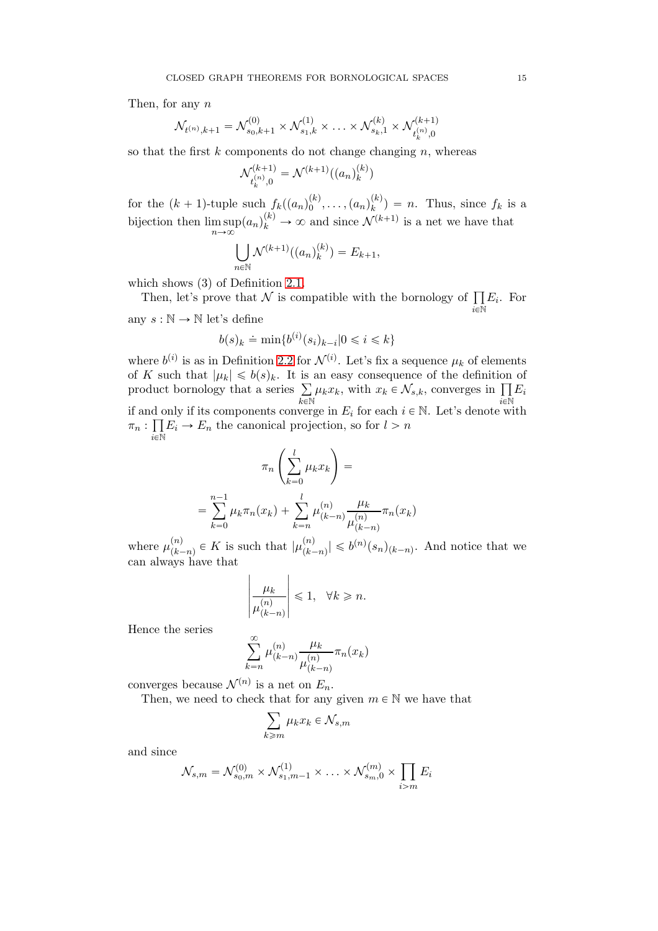Then, for any n

$$
\mathcal{N}_{t^{(n)},k+1} = \mathcal{N}_{s_0,k+1}^{(0)} \times \mathcal{N}_{s_1,k}^{(1)} \times \ldots \times \mathcal{N}_{s_k,1}^{(k)} \times \mathcal{N}_{t_k^{(n)},0}^{(k+1)}
$$

so that the first  $k$  components do not change changing  $n$ , whereas

$$
\mathcal{N}_{t_k^{(n)},0}^{(k+1)} = \mathcal{N}^{(k+1)}((a_n)_k^{(k)})
$$

for the  $(k + 1)$ -tuple such  $f_k((a_n)_0^{(k)}, \ldots, (a_n)_k^{(k)})$  $\binom{k}{k}$  = n. Thus, since  $f_k$  is a bijection then  $\limsup_{n\to\infty} (a_n)_k^{(k)} \to \infty$  and since  $\mathcal{N}^{(k+1)}$  is a net we have that

$$
\bigcup_{n \in \mathbb{N}} \mathcal{N}^{(k+1)}((a_n)_k^{(k)}) = E_{k+1},
$$

which shows (3) of Definition [2.1.](#page-7-1)

Then, let's prove that  $\mathcal N$  is compatible with the bornology of  $\prod$  $\tilde{i}$ E $\tilde{N}$  $E_i$ . For any  $s : \mathbb{N} \to \mathbb{N}$  let's define

$$
b(s)_k \doteq \min\{b^{(i)}(s_i)_{k-i}|0\leqslant i\leqslant k\}
$$

where  $b^{(i)}$  is as in Definition [2.2](#page-7-2) for  $\mathcal{N}^{(i)}$ . Let's fix a sequence  $\mu_k$  of elements of K such that  $|\mu_k| \leq b(s)_k$ . It is an easy consequence of the definition of product bornology that a series  $\Sigma$  $\overline{k}$ EN  $\mu_k x_k$ , with  $x_k \in \mathcal{N}_{s,k}$ , converges in  $\prod$  $\bar{i}$ EN  $E_i$ if and only if its components converge in  $E_i$  for each  $i \in \mathbb{N}$ . Let's denote with  $\pi_n : \prod$  $\tilde{i}$ e $\tilde{\mathbb{N}}$  $E_i \to E_n$  the canonical projection, so for  $l > n$ 

$$
\pi_n \left( \sum_{k=0}^l \mu_k x_k \right) =
$$
  
= 
$$
\sum_{k=0}^{n-1} \mu_k \pi_n(x_k) + \sum_{k=n}^l \mu_{(k-n)}^{(n)} \frac{\mu_k}{\mu_{(k-n)}^{(n)}} \pi_n(x_k)
$$

where  $\mu_{k}^{(n)}$  $\binom{n}{(k-n)} \in K$  is such that  $|\mu_{k-n}^{(n)}|$  $\binom{n}{(k-n)} \leqslant b^{(n)}(s_n)_{(k-n)}$ . And notice that we can always have that

$$
\left|\frac{\mu_k}{\mu^{(n)}_{(k-n)}}\right|\leqslant 1, \quad \forall k\geqslant n.
$$

Hence the series

$$
\sum_{k=n}^{\infty} \mu_{(k-n)}^{(n)} \frac{\mu_k}{\mu_{(k-n)}^{(n)}} \pi_n(x_k)
$$

converges because  $\mathcal{N}^{(n)}$  is a net on  $E_n$ .

Then, we need to check that for any given  $m \in \mathbb{N}$  we have that

$$
\sum_{k\geqslant m}\mu_k x_k\in \mathcal{N}_{s,m}
$$

and since

$$
\mathcal{N}_{s,m} = \mathcal{N}_{s_0,m}^{(0)} \times \mathcal{N}_{s_1,m-1}^{(1)} \times \ldots \times \mathcal{N}_{s_m,0}^{(m)} \times \prod_{i>m} E_i
$$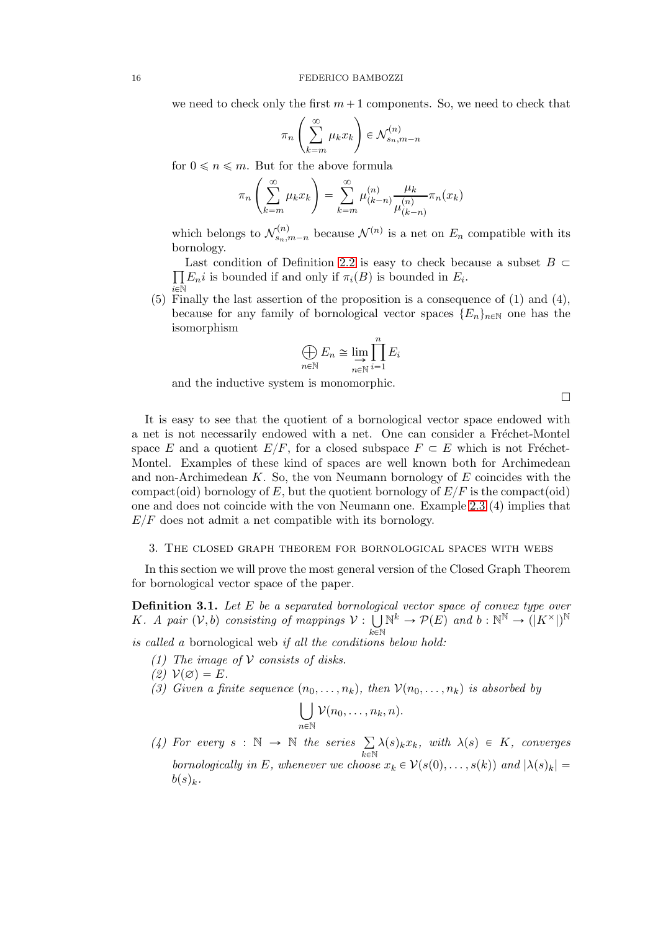we need to check only the first  $m+1$  components. So, we need to check that

$$
\pi_n\left(\sum_{k=m}^{\infty}\mu_k x_k\right) \in \mathcal{N}_{s_n,m-n}^{(n)}
$$

for  $0 \le n \le m$ . But for the above formula

$$
\pi_n\left(\sum_{k=m}^{\infty}\mu_kx_k\right) = \sum_{k=m}^{\infty}\mu_{(k-n)}^{(n)}\frac{\mu_k}{\mu_{(k-n)}^{(n)}}\pi_n(x_k)
$$

which belongs to  $\mathcal{N}_{s_n,m-n}^{(n)}$  because  $\mathcal{N}^{(n)}$  is a net on  $E_n$  compatible with its bornology.

 $\overline{\Pi}$ Last condition of Definition [2.2](#page-7-2) is easy to check because a subset  $B \subset$  $\bar{i}$ e $\bar{N}$  $E_n i$  is bounded if and only if  $\pi_i(B)$  is bounded in  $E_i$ .

(5) Finally the last assertion of the proposition is a consequence of  $(1)$  and  $(4)$ , because for any family of bornological vector spaces  $\{E_n\}_{n\in\mathbb{N}}$  one has the isomorphism

$$
\bigoplus_{n\in\mathbb{N}} E_n \cong \lim_{n\in\mathbb{N}} \prod_{i=1}^n E_i
$$

and the inductive system is monomorphic.

 $\Box$ 

It is easy to see that the quotient of a bornological vector space endowed with a net is not necessarily endowed with a net. One can consider a Fréchet-Montel space E and a quotient  $E/F$ , for a closed subspace  $F \subset E$  which is not Fréchet-Montel. Examples of these kind of spaces are well known both for Archimedean and non-Archimedean  $K$ . So, the von Neumann bornology of  $E$  coincides with the compact(oid) bornology of E, but the quotient bornology of  $E/F$  is the compact(oid) one and does not coincide with the von Neumann one. Example 2.3 (4) implies that  $E/F$  does not admit a net compatible with its bornology.

## <span id="page-15-0"></span>3. The closed graph theorem for bornological spaces with webs

In this section we will prove the most general version of the Closed Graph Theorem for bornological vector space of the paper.

<span id="page-15-1"></span>**Definition 3.1.** Let  $E$  be a separated bornological vector space of convex type over K. A pair  $(V, b)$  consisting of mappings  $V : \bigcup$  $_{k\in\mathbb{N}}$  $\mathbb{N}^k \to \mathcal{P}(E)$  and  $b : \mathbb{N}^{\mathbb{N}} \to (|K^{\times}|)^{\mathbb{N}}$ is called a bornological web if all the conditions below hold:

- (1) The image of  $V$  consists of disks.
- $(2)$   $V(\emptyset) = E$ .
- (3) Given a finite sequence  $(n_0, \ldots, n_k)$ , then  $V(n_0, \ldots, n_k)$  is absorbed by

$$
\bigcup_{n\in\mathbb{N}}\mathcal{V}(n_0,\ldots,n_k,n).
$$

(4) For every  $s : \mathbb{N} \to \mathbb{N}$  the series  $\Sigma$  $_{k\in\mathbb{N}}$  $\lambda(s)_k x_k$ , with  $\lambda(s) \in K$ , converges bornologically in E, whenever we choose  $x_k \in V(s(0), \ldots, s(k))$  and  $|\lambda(s)_k|$  =  $b(s)_k$ .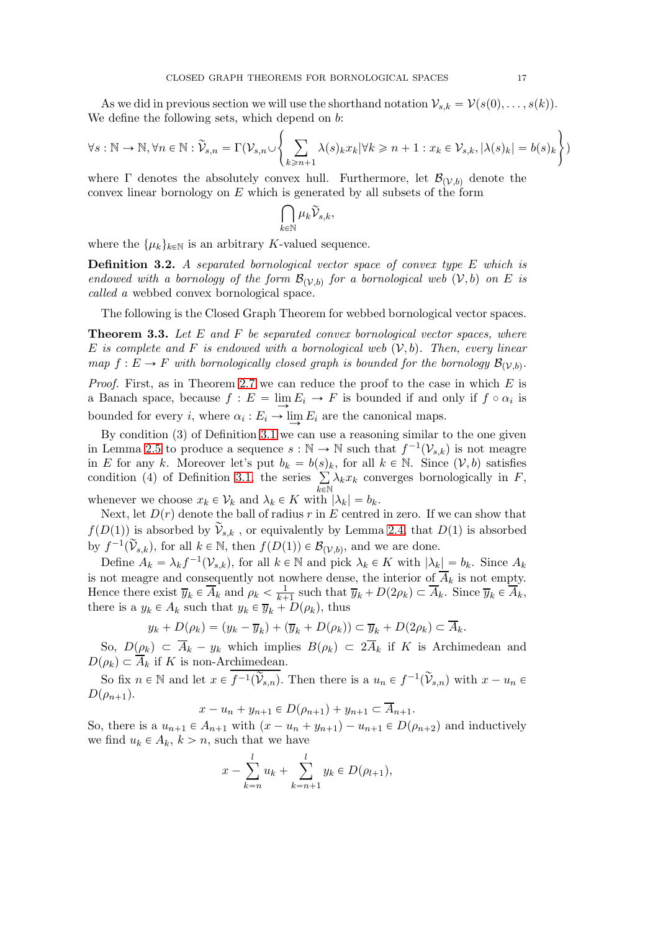As we did in previous section we will use the shorthand notation  $\mathcal{V}_{s,k} = \mathcal{V}(s(0), \ldots, s(k)).$ We define the following sets, which depend on  $b$ :

$$
\forall s: \mathbb{N} \to \mathbb{N}, \forall n \in \mathbb{N}: \widetilde{\mathcal{V}}_{s,n} = \Gamma(\mathcal{V}_{s,n} \cup \left\{ \sum_{k \geq n+1} \lambda(s)_k x_k | \forall k \geq n+1 : x_k \in \mathcal{V}_{s,k}, |\lambda(s)_k| = b(s)_k \right\})
$$

where  $\Gamma$  denotes the absolutely convex hull. Furthermore, let  $\mathcal{B}_{(\mathcal{V},b)}$  denote the convex linear bornology on  $E$  which is generated by all subsets of the form

$$
\bigcap_{k\in\mathbb{N}}\mu_k\widetilde{\mathcal{V}}_{s,k},
$$

where the  $\{\mu_k\}_{k\in\mathbb{N}}$  is an arbitrary K-valued sequence.

**Definition 3.2.** A separated bornological vector space of convex type E which is endowed with a bornology of the form  $\mathcal{B}_{(\mathcal{V},b)}$  for a bornological web  $(\mathcal{V},b)$  on E is called a webbed convex bornological space.

The following is the Closed Graph Theorem for webbed bornological vector spaces.

<span id="page-16-0"></span>**Theorem 3.3.** Let  $E$  and  $F$  be separated convex bornological vector spaces, where E is complete and F is endowed with a bornological web  $(V, b)$ . Then, every linear map  $f: E \to F$  with bornologically closed graph is bounded for the bornology  $\mathcal{B}_{(\mathcal{V},b)}$ . *Proof.* First, as in Theorem [2.7](#page-12-0) we can reduce the proof to the case in which  $E$  is a Banach space, because  $f : E = \lim_{n \to \infty} E_i \to F$  is bounded if and only if  $f \circ \alpha_i$  is bounded for every *i*, where  $\alpha_i : E_i \to \lim_{i \to \infty} E_i$  are the canonical maps.

By condition (3) of Definition [3.1](#page-15-1) we can use a reasoning similar to the one given in Lemma [2.5](#page-10-0) to produce a sequence  $s : \mathbb{N} \to \mathbb{N}$  such that  $f^{-1}(\mathcal{V}_{s,k})$  is not meagre in E for any k. Moreover let's put  $b_k = b(s_k)$ , for all  $k \in \mathbb{N}$ . Since  $(\mathcal{V}, b)$  satisfies condition (4) of Definition [3.1,](#page-15-1) the series  $\Sigma$  $\bar{k}$ EN  $\lambda_k x_k$  converges bornologically in F,

whenever we choose  $x_k \in \mathcal{V}_k$  and  $\lambda_k \in K$  with  $|\lambda_k| = b_k$ .

Next, let  $D(r)$  denote the ball of radius r in E centred in zero. If we can show that  $f(D(1))$  is absorbed by  $\widetilde{\mathcal{V}}_{s,k}$ , or equivalently by Lemma [2.4,](#page-9-0) that  $D(1)$  is absorbed by  $f^{-1}(\widetilde{\mathcal{V}}_{s,k})$ , for all  $k \in \mathbb{N}$ , then  $f(D(1)) \in \mathcal{B}_{(\mathcal{V},b)}$ , and we are done.

Define  $A_k = \lambda_k f^{-1}(\mathcal{V}_{s,k})$ , for all  $k \in \mathbb{N}$  and pick  $\lambda_k \in K$  with  $|\lambda_k| = b_k$ . Since  $A_k$ is not meagre and consequently not nowhere dense, the interior of  $\overline{A}_k$  is not empty. Hence there exist  $\overline{y}_k \in \overline{A}_k^*$  and  $\rho_k < \frac{1}{k+1}$  such that  $\overline{y}_k + D(2\rho_k) \subset \overline{A}_k$ . Since  $\overline{y}_k \in \overline{A}_k^*$ , there is a  $y_k \in A_k$  such that  $y_k \in \overline{y}_k + D(\rho_k)$ , thus

$$
y_k + D(\rho_k) = (y_k - \overline{y}_k) + (\overline{y}_k + D(\rho_k)) \subset \overline{y}_k + D(2\rho_k) \subset A_k.
$$

So,  $D(\rho_k) \subset \overline{A}_k - y_k$  which implies  $B(\rho_k) \subset 2\overline{A}_k$  if K is Archimedean and  $D(\rho_k) \subset \overline{A}_k$  if K is non-Archimedean.

So fix  $n \in \mathbb{N}$  and let  $x \in \overline{f^{-1}(\widetilde{\mathcal{V}}_{s,n})}$ . Then there is a  $u_n \in f^{-1}(\widetilde{\mathcal{V}}_{s,n})$  with  $x - u_n \in$  $D(\rho_{n+1}).$ 

$$
x - u_n + y_{n+1} \in D(\rho_{n+1}) + y_{n+1} \subset \overline{A}_{n+1}.
$$

So, there is a  $u_{n+1} \in A_{n+1}$  with  $(x - u_n + y_{n+1}) - u_{n+1} \in D(\rho_{n+2})$  and inductively we find  $u_k \in A_k$ ,  $k > n$ , such that we have

$$
x - \sum_{k=n}^{l} u_k + \sum_{k=n+1}^{l} y_k \in D(\rho_{l+1}),
$$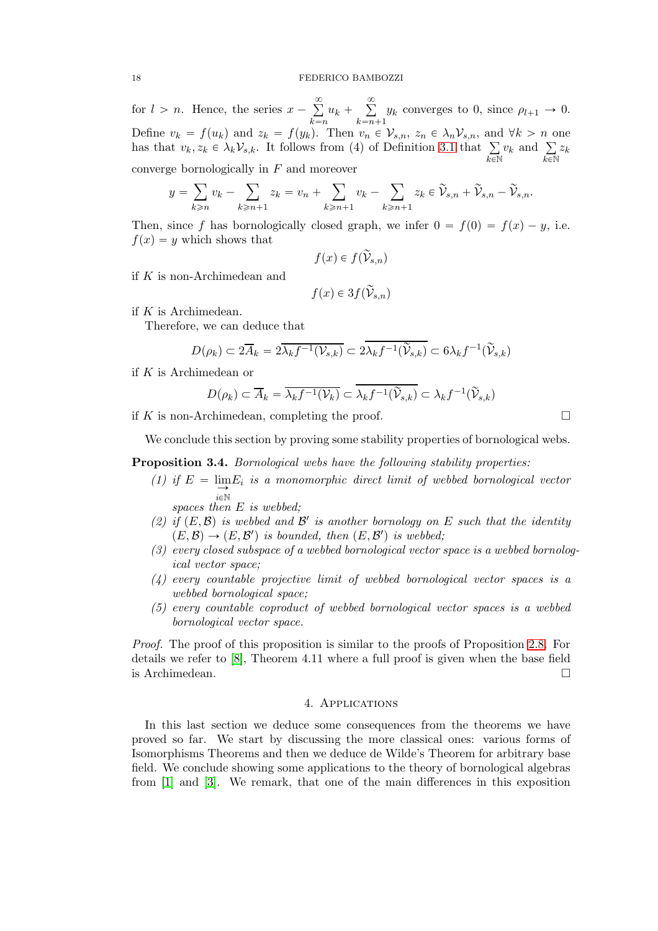for  $l > n$ . Hence, the series  $x - \sum_{i=1}^{\infty}$  $_{k=n}$  $u_k + \sum_{k=1}^{\infty}$  $k=n+1$  $y_k$  converges to 0, since  $\rho_{l+1} \to 0$ . Define  $v_k = f(u_k)$  and  $z_k = f(y_k)$ . Then  $v_n \in V_{s,n}$ ,  $z_n \in \lambda_n V_{s,n}$ , and  $\forall k > n$  one has that  $v_k, z_k \in \lambda_k \mathcal{V}_{s,k}$ . It follows from (4) of Definition [3.1](#page-15-1) that  $\Sigma$  $_{k\in\mathbb{N}}$  $v_k$  and  $\sum$  $\bar{k}$ EN  $z_k$ 

converge bornologically in F and moreover

$$
y = \sum_{k \ge n} v_k - \sum_{k \ge n+1} z_k = v_n + \sum_{k \ge n+1} v_k - \sum_{k \ge n+1} z_k \in \widetilde{\mathcal{V}}_{s,n} + \widetilde{\mathcal{V}}_{s,n} - \widetilde{\mathcal{V}}_{s,n}.
$$

Then, since f has bornologically closed graph, we infer  $0 = f(0) = f(x) - y$ , i.e.  $f(x) = y$  which shows that

$$
f(x) \in f(\widetilde{\mathcal{V}}_{s,n})
$$

if K is non-Archimedean and

$$
f(x) \in 3f(\widetilde{\mathcal{V}}_{s,n})
$$

if  $K$  is Archimedean.

Therefore, we can deduce that

$$
D(\rho_k) \subset 2\overline{A}_k = 2\overline{\lambda_k f^{-1}(\mathcal{V}_{s,k})} \subset 2\overline{\lambda_k f^{-1}(\widetilde{\mathcal{V}}_{s,k})} \subset 6\lambda_k f^{-1}(\widetilde{\mathcal{V}}_{s,k})
$$

if K is Archimedean or

$$
D(\rho_k) \subset \overline{A}_k = \overline{\lambda_k f^{-1}(\mathcal{V}_k)} \subset \overline{\lambda_k f^{-1}(\widetilde{\mathcal{V}}_{s,k})} \subset \lambda_k f^{-1}(\widetilde{\mathcal{V}}_{s,k})
$$

if K is non-Archimedean, completing the proof.  $\Box$ 

We conclude this section by proving some stability properties of bornological webs.

**Proposition 3.4.** Bornological webs have the following stability properties:

(1) if  $E = \lim_{n \to \infty} E_i$  is a monomorphic direct limit of webbed bornological vector  $i\in\mathbb{N}$ 

spaces then E is webbed;

- (2) if  $(E, \mathcal{B})$  is webbed and  $\mathcal{B}'$  is another bornology on E such that the identity  $(E, \mathcal{B}) \rightarrow (E, \mathcal{B}')$  is bounded, then  $(E, \mathcal{B}')$  is webbed;
- (3) every closed subspace of a webbed bornological vector space is a webbed bornological vector space;
- (4) every countable projective limit of webbed bornological vector spaces is a webbed bornological space;
- (5) every countable coproduct of webbed bornological vector spaces is a webbed bornological vector space.

Proof. The proof of this proposition is similar to the proofs of Proposition [2.8.](#page-12-1) For details we refer to [\[8\]](#page-26-6), Theorem 4.11 where a full proof is given when the base field is Archimedean.

### 4. Applications

In this last section we deduce some consequences from the theorems we have proved so far. We start by discussing the more classical ones: various forms of Isomorphisms Theorems and then we deduce de Wilde's Theorem for arbitrary base field. We conclude showing some applications to the theory of bornological algebras from [\[1\]](#page-26-0) and [\[3\]](#page-26-2). We remark, that one of the main differences in this exposition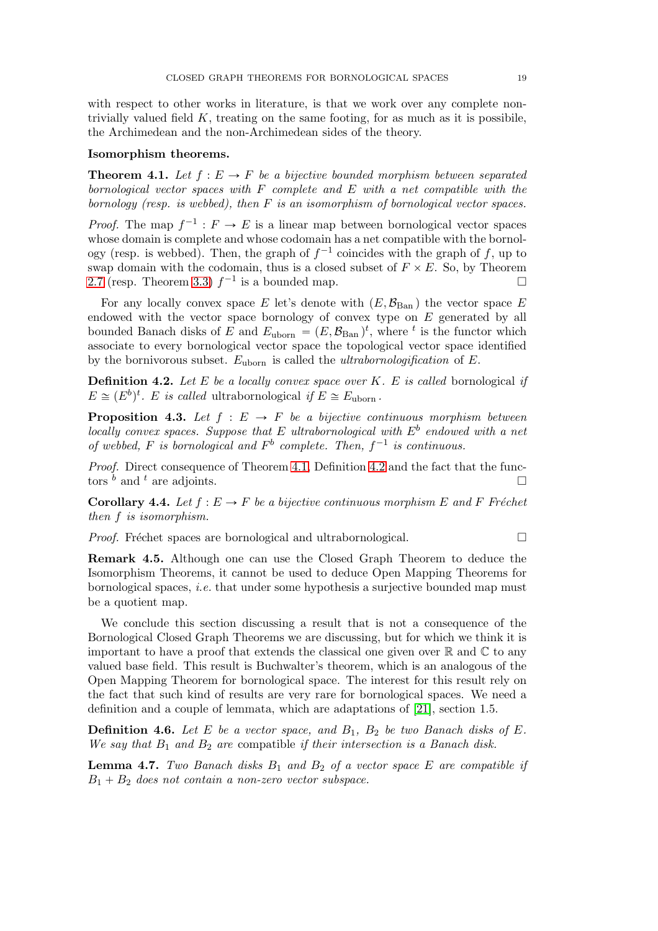with respect to other works in literature, is that we work over any complete nontrivially valued field  $K$ , treating on the same footing, for as much as it is possibile, the Archimedean and the non-Archimedean sides of the theory.

# Isomorphism theorems.

<span id="page-18-0"></span>**Theorem 4.1.** Let  $f : E \to F$  be a bijective bounded morphism between separated bornological vector spaces with F complete and E with a net compatible with the bornology (resp. is webbed), then  $F$  is an isomorphism of bornological vector spaces.

*Proof.* The map  $f^{-1}: F \to E$  is a linear map between bornological vector spaces whose domain is complete and whose codomain has a net compatible with the bornology (resp. is webbed). Then, the graph of  $f^{-1}$  coincides with the graph of f, up to swap domain with the codomain, thus is a closed subset of  $F \times E$ . So, by Theorem [2.7](#page-12-0) (resp. Theorem [3.3\)](#page-16-0)  $f^{-1}$  is a bounded map.

For any locally convex space E let's denote with  $(E,\mathcal{B}_{\operatorname{Ban}})$  the vector space E endowed with the vector space bornology of convex type on  $E$  generated by all bounded Banach disks of E and  $E_{\text{uborn}} = (E, \mathcal{B}_{\text{Ban}})^t$ , where <sup>t</sup> is the functor which associate to every bornological vector space the topological vector space identified by the bornivorous subset.  $E_{\text{uborn}}$  is called the *ultrabornologification* of  $E$ .

<span id="page-18-1"></span>**Definition 4.2.** Let E be a locally convex space over  $K$ . E is called bornological if  $E \cong (E^b)^t$ . E is called ultrabornological if  $E \cong E_{\text{uborn}}$ .

**Proposition 4.3.** Let  $f : E \rightarrow F$  be a bijective continuous morphism between locally convex spaces. Suppose that E ultrabornological with  $E^b$  endowed with a net of webbed, F is bornological and  $F^b$  complete. Then,  $f^{-1}$  is continuous.

Proof. Direct consequence of Theorem [4.1,](#page-18-0) Definition [4.2](#page-18-1) and the fact that the functors  $\binom{b}{k}$  and  $\binom{t}{k}$  are adjoints.

**Corollary 4.4.** Let  $f : E \to F$  be a bijective continuous morphism E and F Fréchet then f is isomorphism.

*Proof.* Fréchet spaces are bornological and ultrabornological.  $\Box$ 

Remark 4.5. Although one can use the Closed Graph Theorem to deduce the Isomorphism Theorems, it cannot be used to deduce Open Mapping Theorems for bornological spaces, i.e. that under some hypothesis a surjective bounded map must be a quotient map.

We conclude this section discussing a result that is not a consequence of the Bornological Closed Graph Theorems we are discussing, but for which we think it is important to have a proof that extends the classical one given over  $\mathbb R$  and  $\mathbb C$  to any valued base field. This result is Buchwalter's theorem, which is an analogous of the Open Mapping Theorem for bornological space. The interest for this result rely on the fact that such kind of results are very rare for bornological spaces. We need a definition and a couple of lemmata, which are adaptations of [\[21\]](#page-27-5), section 1.5.

**Definition 4.6.** Let E be a vector space, and  $B_1$ ,  $B_2$  be two Banach disks of E. We say that  $B_1$  and  $B_2$  are compatible if their intersection is a Banach disk.

<span id="page-18-2"></span>**Lemma 4.7.** Two Banach disks  $B_1$  and  $B_2$  of a vector space E are compatible if  $B_1 + B_2$  does not contain a non-zero vector subspace.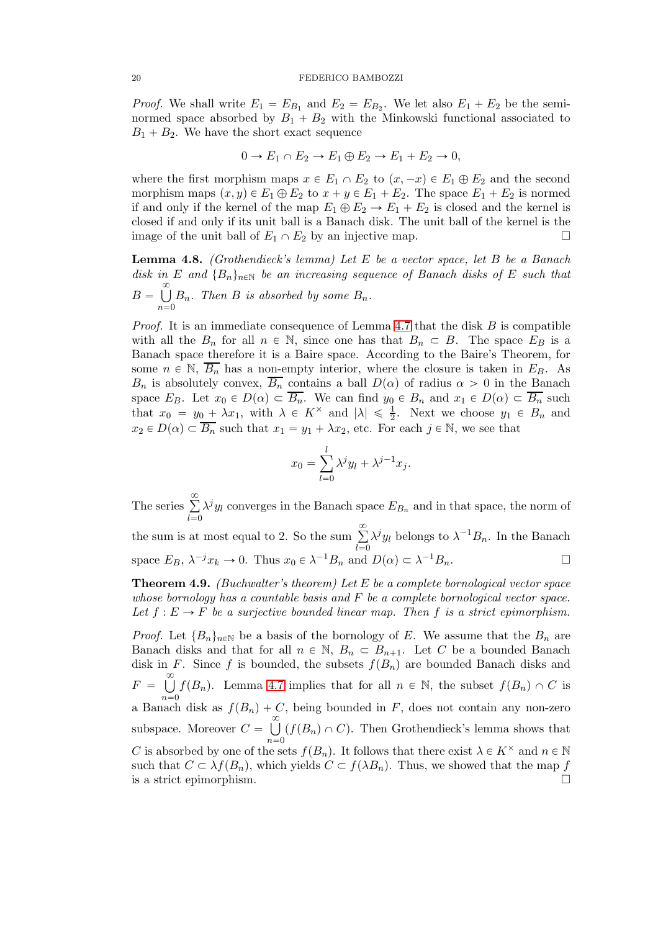*Proof.* We shall write  $E_1 = E_{B_1}$  and  $E_2 = E_{B_2}$ . We let also  $E_1 + E_2$  be the seminormed space absorbed by  $B_1 + B_2$  with the Minkowski functional associated to  $B_1 + B_2$ . We have the short exact sequence

$$
0 \to E_1 \cap E_2 \to E_1 \oplus E_2 \to E_1 + E_2 \to 0,
$$

where the first morphism maps  $x \in E_1 \cap E_2$  to  $(x, -x) \in E_1 \oplus E_2$  and the second morphism maps  $(x, y) \in E_1 \oplus E_2$  to  $x + y \in E_1 + E_2$ . The space  $E_1 + E_2$  is normed if and only if the kernel of the map  $E_1 \oplus E_2 \rightarrow E_1 + E_2$  is closed and the kernel is closed if and only if its unit ball is a Banach disk. The unit ball of the kernel is the image of the unit ball of  $E_1 \cap E_2$  by an injective map.

**Lemma 4.8.** (Grothendieck's lemma) Let E be a vector space, let B be a Banach disk in E and  ${B_n}_{n \in \mathbb{N}}$  be an increasing sequence of Banach disks of E such that  $B = \bigcup^{\infty}$  $n=0$  $B_n$ . Then B is absorbed by some  $B_n$ .

*Proof.* It is an immediate consequence of Lemma [4.7](#page-18-2) that the disk  $B$  is compatible with all the  $B_n$  for all  $n \in \mathbb{N}$ , since one has that  $B_n \subset B$ . The space  $E_B$  is a Banach space therefore it is a Baire space. According to the Baire's Theorem, for some  $n \in \mathbb{N}$ ,  $\overline{B_n}$  has a non-empty interior, where the closure is taken in  $E_B$ . As  $B_n$  is absolutely convex,  $\overline{B_n}$  contains a ball  $D(\alpha)$  of radius  $\alpha > 0$  in the Banach space  $E_B$ . Let  $x_0 \in D(\alpha) \subset \overline{B_n}$ . We can find  $y_0 \in B_n$  and  $x_1 \in D(\alpha) \subset \overline{B_n}$  such that  $x_0 = y_0 + \lambda x_1$ , with  $\lambda \in K^\times$  and  $|\lambda| \leq \frac{1}{2}$ . Next we choose  $y_1 \in B_n$  and  $x_2 \in D(\alpha) \subset \overline{B_n}$  such that  $x_1 = y_1 + \lambda x_2$ , etc. For each  $j \in \mathbb{N}$ , we see that

$$
x_0 = \sum_{l=0}^{l} \lambda^j y_l + \lambda^{j-1} x_j.
$$

The series  $\sum_{n=1}^{\infty}$  $l=0$  $\lambda^{j} y_{l}$  converges in the Banach space  $E_{B_n}$  and in that space, the norm of the sum is at most equal to 2. So the sum  $\sum_{n=1}^{\infty}$  $\overline{l=0}$  $\lambda^j y_l$  belongs to  $\lambda^{-1} B_n$ . In the Banach space  $E_B$ ,  $\lambda^{-j} x_k \to 0$ . Thus  $x_0 \in \lambda^{-1} B_n$  and  $D(\alpha) \subset \lambda^{-1} B_n$ .

**Theorem 4.9.** (Buchwalter's theorem) Let E be a complete bornological vector space whose bornology has a countable basis and  $F$  be a complete bornological vector space. Let  $f : E \to F$  be a surjective bounded linear map. Then f is a strict epimorphism.

*Proof.* Let  ${B_n}_{n\in\mathbb{N}}$  be a basis of the bornology of E. We assume that the  $B_n$  are Banach disks and that for all  $n \in \mathbb{N}$ ,  $B_n \subset B_{n+1}$ . Let C be a bounded Banach disk in F. Since f is bounded, the subsets  $f(B_n)$  are bounded Banach disks and  $F = \bigcup^{\infty}$  $n=0$  $f(B_n)$ . Lemma [4.7](#page-18-2) implies that for all  $n \in \mathbb{N}$ , the subset  $f(B_n) \cap C$  is a Banach disk as  $f(B_n) + C$ , being bounded in F, does not contain any non-zero subspace. Moreover  $C = \bigcup_{n=1}^{\infty}$  $n=0$  $(f(B_n) \cap C)$ . Then Grothendieck's lemma shows that C is absorbed by one of the sets  $f(B_n)$ . It follows that there exist  $\lambda \in K^\times$  and  $n \in \mathbb{N}$ such that  $C \subset \lambda f(B_n)$ , which yields  $C \subset f(\lambda B_n)$ . Thus, we showed that the map f is a strict epimorphism.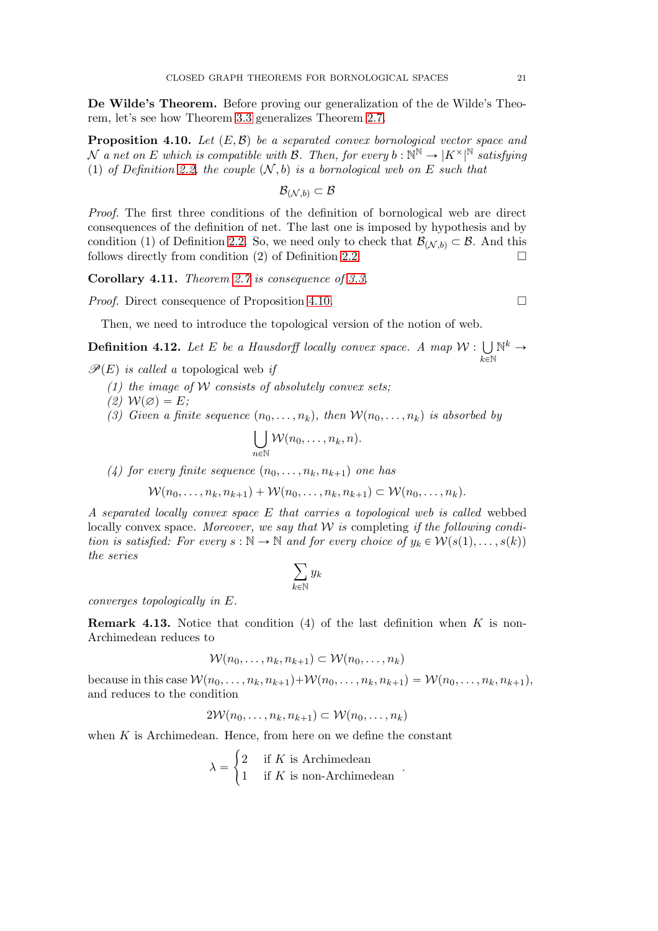De Wilde's Theorem. Before proving our generalization of the de Wilde's Theorem, let's see how Theorem [3.3](#page-16-0) generalizes Theorem [2.7.](#page-12-0)

<span id="page-20-0"></span>**Proposition 4.10.** Let  $(E, \mathcal{B})$  be a separated convex bornological vector space and N a net on E which is compatible with  $\mathcal{B}$ . Then, for every  $b: \mathbb{N}^{\mathbb{N}} \to |K^{\times}|^{\mathbb{N}}$  satisfying (1) of Definition [2.2,](#page-7-2) the couple  $(N, b)$  is a bornological web on E such that

$$
\mathcal{B}_{(\mathcal{N},b)}\subset \mathcal{B}
$$

Proof. The first three conditions of the definition of bornological web are direct consequences of the definition of net. The last one is imposed by hypothesis and by condition (1) of Definition [2.2.](#page-7-2) So, we need only to check that  $\mathcal{B}_{(N,b)} \subset \mathcal{B}$ . And this follows directly from condition (2) of Definition [2.2.](#page-7-2)  $\Box$ 

Corollary 4.11. Theorem [2.7](#page-12-0) is consequence of [3.3.](#page-16-0)

*Proof.* Direct consequence of Proposition [4.10.](#page-20-0)

Then, we need to introduce the topological version of the notion of web.

<span id="page-20-1"></span>**Definition 4.12.** Let E be a Hausdorff locally convex space. A map  $W: \bigcup$  $_{k\in\mathbb{N}}$  $\mathbb{N}^k \rightarrow$ 

 $\mathscr{P}(E)$  is called a topological web if

- (1) the image of W consists of absolutely convex sets;
- $(2)$   $W(\emptyset) = E;$
- (3) Given a finite sequence  $(n_0, \ldots, n_k)$ , then  $W(n_0, \ldots, n_k)$  is absorbed by

$$
\bigcup_{n\in\mathbb{N}}\mathcal{W}(n_0,\ldots,n_k,n).
$$

(4) for every finite sequence  $(n_0, \ldots, n_k, n_{k+1})$  one has

$$
\mathcal{W}(n_0,\ldots,n_k,n_{k+1})+\mathcal{W}(n_0,\ldots,n_k,n_{k+1})\subset \mathcal{W}(n_0,\ldots,n_k).
$$

A separated locally convex space E that carries a topological web is called webbed locally convex space. Moreover, we say that  $W$  is completing if the following condition is satisfied: For every  $s : \mathbb{N} \to \mathbb{N}$  and for every choice of  $y_k \in \mathcal{W}(s(1), \ldots, s(k))$ the series

$$
\sum_{k\in\mathbb{N}}y_k
$$

converges topologically in E.

<span id="page-20-2"></span>**Remark 4.13.** Notice that condition (4) of the last definition when  $K$  is non-Archimedean reduces to

$$
\mathcal{W}(n_0,\ldots,n_k,n_{k+1}) \subset \mathcal{W}(n_0,\ldots,n_k)
$$

because in this case  $\mathcal{W}(n_0, \ldots, n_k, n_{k+1}) + \mathcal{W}(n_0, \ldots, n_k, n_{k+1}) = \mathcal{W}(n_0, \ldots, n_k, n_{k+1}),$ and reduces to the condition

$$
2\mathcal{W}(n_0,\ldots,n_k,n_{k+1}) \subset \mathcal{W}(n_0,\ldots,n_k)
$$

when  $K$  is Archimedean. Hence, from here on we define the constant

$$
\lambda = \begin{cases} 2 & \text{if } K \text{ is Archimedean} \\ 1 & \text{if } K \text{ is non-Archimedean} \end{cases}
$$

.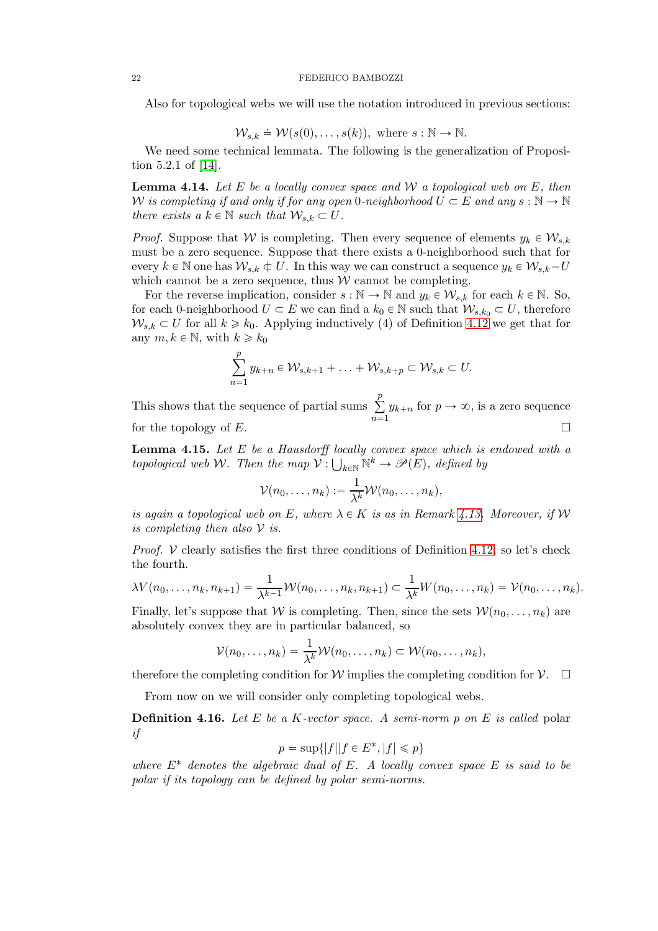#### 22 FEDERICO BAMBOZZI

Also for topological webs we will use the notation introduced in previous sections:

$$
\mathcal{W}_{s,k} \doteq \mathcal{W}(s(0), \ldots, s(k)), \text{ where } s : \mathbb{N} \to \mathbb{N}.
$$

We need some technical lemmata. The following is the generalization of Proposition 5.2.1 of [\[14\]](#page-27-6).

<span id="page-21-2"></span>**Lemma 4.14.** Let E be a locally convex space and  $\mathcal{W}$  a topological web on E, then W is completing if and only if for any open 0-neighborhood  $U \subset E$  and any  $s : \mathbb{N} \to \mathbb{N}$ there exists a  $k \in \mathbb{N}$  such that  $\mathcal{W}_{s,k} \subset U$ .

*Proof.* Suppose that W is completing. Then every sequence of elements  $y_k \in W_{s,k}$ must be a zero sequence. Suppose that there exists a 0-neighborhood such that for every  $k \in \mathbb{N}$  one has  $\mathcal{W}_{s,k} \subset U$ . In this way we can construct a sequence  $y_k \in \mathcal{W}_{s,k} - U$ which cannot be a zero sequence, thus  $W$  cannot be completing.

For the reverse implication, consider  $s : \mathbb{N} \to \mathbb{N}$  and  $y_k \in \mathcal{W}_{s,k}$  for each  $k \in \mathbb{N}$ . So, for each 0-neighborhood  $U \subset E$  we can find a  $k_0 \in \mathbb{N}$  such that  $\mathcal{W}_{s,k_0} \subset U$ , therefore  $W_{s,k} \subset U$  for all  $k \geq k_0$ . Applying inductively (4) of Definition [4.12](#page-20-1) we get that for any  $m, k \in \mathbb{N}$ , with  $k \geq k_0$ 

$$
\sum_{n=1}^p y_{k+n} \in \mathcal{W}_{s,k+1} + \ldots + \mathcal{W}_{s,k+p} \subset \mathcal{W}_{s,k} \subset U.
$$

This shows that the sequence of partial sums  $\sum_{n=1}^{\infty}$  $\sum_{n=1} y_{k+n}$  for  $p \to \infty$ , is a zero sequence for the topology of  $E$ .

<span id="page-21-1"></span>**Lemma 4.15.** Let  $E$  be a Hausdorff locally convex space which is endowed with a topological web W. Then the map  $V: \bigcup_{k \in \mathbb{N}} \mathbb{N}^k \to \mathscr{P}(E)$ , defined by

$$
\mathcal{V}(n_0,\ldots,n_k):=\frac{1}{\lambda^k}\mathcal{W}(n_0,\ldots,n_k),
$$

is again a topological web on E, where  $\lambda \in K$  is as in Remark [4.13.](#page-20-2) Moreover, if W is completing then also  $\mathcal V$  is.

*Proof.*  $V$  clearly satisfies the first three conditions of Definition [4.12,](#page-20-1) so let's check the fourth.

$$
\lambda V(n_0,\ldots,n_k,n_{k+1})=\frac{1}{\lambda^{k-1}}\mathcal{W}(n_0,\ldots,n_k,n_{k+1})\subset \frac{1}{\lambda^k}W(n_0,\ldots,n_k)=\mathcal{V}(n_0,\ldots,n_k).
$$

Finally, let's suppose that W is completing. Then, since the sets  $\mathcal{W}(n_0, \ldots, n_k)$  are absolutely convex they are in particular balanced, so

$$
\mathcal{V}(n_0,\ldots,n_k)=\frac{1}{\lambda^k}\mathcal{W}(n_0,\ldots,n_k)\subset \mathcal{W}(n_0,\ldots,n_k),
$$

therefore the completing condition for W implies the completing condition for  $\mathcal{V}$ .

From now on we will consider only completing topological webs.

<span id="page-21-0"></span>**Definition 4.16.** Let E be a K-vector space. A semi-norm p on E is called polar if

$$
p = \sup\{|f| | f \in E^*, |f| \leq p\}
$$

where  $E^*$  denotes the algebraic dual of E. A locally convex space E is said to be polar if its topology can be defined by polar semi-norms.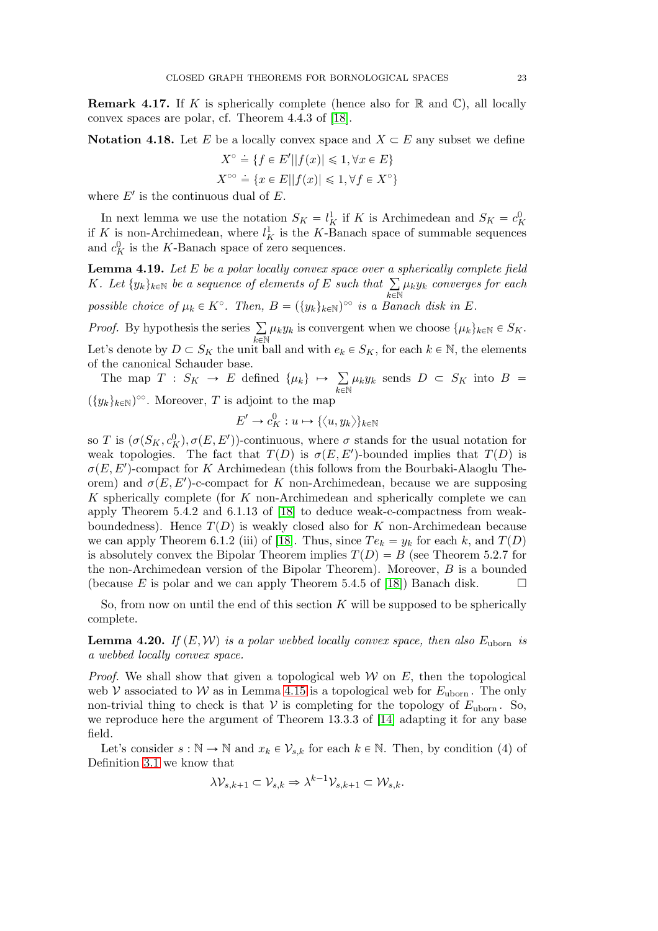**Remark 4.17.** If K is spherically complete (hence also for  $\mathbb{R}$  and  $\mathbb{C}$ ), all locally convex spaces are polar, cf. Theorem 4.4.3 of [\[18\]](#page-27-7).

**Notation 4.18.** Let E be a locally convex space and  $X \subseteq E$  any subset we define

$$
X^{\circ} \doteq \{ f \in E' || f(x) || \leq 1, \forall x \in E \}
$$
  

$$
X^{\circ \circ} \doteq \{ x \in E || f(x) || \leq 1, \forall f \in X^{\circ} \}
$$

where  $E'$  is the continuous dual of  $E$ .

In next lemma we use the notation  $S_K = l_K^1$  if K is Archimedean and  $S_K = c_F^0$ K if K is non-Archimedean, where  $l_K^1$  is the K-Banach space of summable sequences and  $c_K^0$  is the K-Banach space of zero sequences.

<span id="page-22-0"></span>**Lemma 4.19.** Let  $E$  be a polar locally convex space over a spherically complete field K. Let  $\{y_k\}_{k\in\mathbb{N}}$  be a sequence of elements of E such that  $\sum$  $\widetilde{k\in\mathbb{N}}$  $\mu_ky_k$  converges for each possible choice of  $\mu_k \in K^{\circ}$ . Then,  $B = (\{y_k\}_{k \in \mathbb{N}})^{\circ \circ}$  is a Banach disk in E.

*Proof.* By hypothesis the series  $\Sigma$  $\bar{k}$ EN  $\mu_k y_k$  is convergent when we choose  $\{\mu_k\}_{k\in\mathbb{N}} \in S_K$ . Let's denote by  $D \subset S_K$  the unit ball and with  $e_k \in S_K$ , for each  $k \in \mathbb{N}$ , the elements

of the canonical Schauder base. The map  $T : S_K \to E$  defined  $\{\mu_k\} \mapsto \sum$  $\mu_k y_k$  sends  $D \subset S_K$  into  $B =$ 

 $_{k\in\mathbb{N}}$  $(\{y_k\}_{k\in\mathbb{N}})$ <sup>oo</sup>. Moreover, T is adjoint to the map

$$
E' \to c_K^0 : u \mapsto \{\langle u, y_k \rangle\}_{k \in \mathbb{N}}
$$

so T is  $(\sigma(S_K, c_K^0), \sigma(E, E'))$ -continuous, where  $\sigma$  stands for the usual notation for weak topologies. The fact that  $T(D)$  is  $\sigma(E, E')$ -bounded implies that  $T(D)$  is  $\sigma(E, E')$ -compact for K Archimedean (this follows from the Bourbaki-Alaoglu Theorem) and  $\sigma(E, E')$ -c-compact for K non-Archimedean, because we are supposing  $K$  spherically complete (for  $K$  non-Archimedean and spherically complete we can apply Theorem 5.4.2 and 6.1.13 of [\[18\]](#page-27-7) to deduce weak-c-compactness from weakboundedness). Hence  $T(D)$  is weakly closed also for K non-Archimedean because we can apply Theorem 6.1.2 (iii) of [\[18\]](#page-27-7). Thus, since  $Te_k = y_k$  for each k, and  $T(D)$ is absolutely convex the Bipolar Theorem implies  $T(D) = B$  (see Theorem 5.2.7 for the non-Archimedean version of the Bipolar Theorem). Moreover,  $B$  is a bounded (because E is polar and we can apply Theorem 5.4.5 of [\[18\]](#page-27-7)) Banach disk.  $\square$ 

So, from now on until the end of this section  $K$  will be supposed to be spherically complete.

<span id="page-22-1"></span>**Lemma 4.20.** If  $(E, W)$  is a polar webbed locally convex space, then also  $E_{\text{uborn}}$  is a webbed locally convex space.

*Proof.* We shall show that given a topological web  $W$  on E, then the topological web V associated to W as in Lemma [4.15](#page-21-1) is a topological web for  $E_{\text{uborn}}$ . The only non-trivial thing to check is that  $V$  is completing for the topology of  $E_{\text{uborn}}$ . So, we reproduce here the argument of Theorem 13.3.3 of [\[14\]](#page-27-6) adapting it for any base field.

Let's consider  $s : \mathbb{N} \to \mathbb{N}$  and  $x_k \in \mathcal{V}_{s,k}$  for each  $k \in \mathbb{N}$ . Then, by condition (4) of Definition [3.1](#page-15-1) we know that

$$
\lambda \mathcal{V}_{s,k+1} \subset \mathcal{V}_{s,k} \Rightarrow \lambda^{k-1} \mathcal{V}_{s,k+1} \subset \mathcal{W}_{s,k}.
$$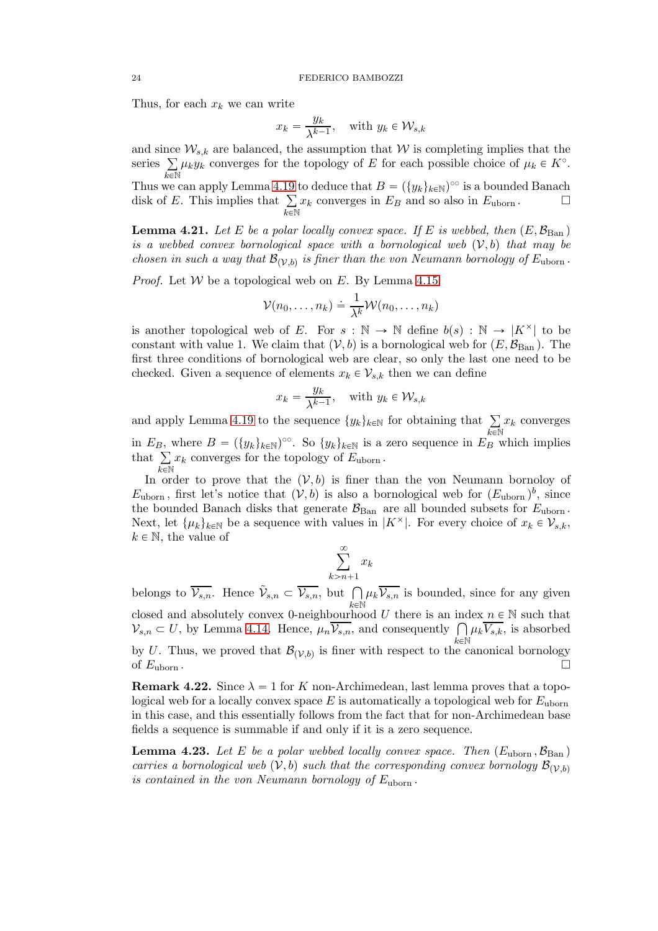Thus, for each  $x_k$  we can write

$$
x_k = \frac{y_k}{\lambda^{k-1}}, \quad \text{with } y_k \in \mathcal{W}_{s,k}
$$

and since  $\mathcal{W}_{s,k}$  are balanced, the assumption that W is completing implies that the series  $\Sigma$  $\bar{k}$ EN  $\mu_k y_k$  converges for the topology of E for each possible choice of  $\mu_k \in K^{\circ}$ . Thus we can apply Lemma [4.19](#page-22-0) to deduce that  $B = (\{y_k\}_{k\in\mathbb{N}})^{\infty}$  is a bounded Banach

disk of E. This implies that  $\Sigma$  $\bar{k}$ EN  $x_k$  converges in  $E_B$  and so also in  $E_{\text{uborn}}$ .

<span id="page-23-0"></span>**Lemma 4.21.** Let E be a polar locally convex space. If E is webbed, then  $(E,\mathcal{B}_{\text{Ban}})$ is a webbed convex bornological space with a bornological web  $(V, b)$  that may be chosen in such a way that  $\mathcal{B}_{(\mathcal{V},b)}$  is finer than the von Neumann bornology of  $E_{\text{uborn}}$ .

*Proof.* Let  $W$  be a topological web on  $E$ . By Lemma [4.15](#page-21-1)

$$
\mathcal{V}(n_0,\ldots,n_k) \doteq \frac{1}{\lambda^k} \mathcal{W}(n_0,\ldots,n_k)
$$

is another topological web of E. For  $s : \mathbb{N} \to \mathbb{N}$  define  $b(s) : \mathbb{N} \to |K^{\times}|$  to be constant with value 1. We claim that  $(V, b)$  is a bornological web for  $(E, \mathcal{B}_{\text{Ban}})$ . The first three conditions of bornological web are clear, so only the last one need to be checked. Given a sequence of elements  $x_k \in \mathcal{V}_{s,k}$  then we can define

$$
x_k = \frac{y_k}{\lambda^{k-1}}, \quad \text{with } y_k \in \mathcal{W}_{s,k}
$$

and apply Lemma [4.19](#page-22-0) to the sequence  $\{y_k\}_{k\in\mathbb{N}}$  for obtaining that  $\sum$  $\widetilde{k\in\mathbb{N}}$  $x_k$  converges in  $E_B$ , where  $B = (\{y_k\}_{k\in\mathbb{N}})$ <sup>oo</sup>. So  $\{y_k\}_{k\in\mathbb{N}}$  is a zero sequence in  $E_B$  which implies that  $\sum$  $_{k\in\mathbb{N}}$  $x_k$  converges for the topology of  $E_{\text{uborn}}$ .

In order to prove that the  $(V, b)$  is finer than the von Neumann bornoloy of  $E_{\text{uborn}}$ , first let's notice that  $(V, b)$  is also a bornological web for  $(E_{\text{uborn}})^b$ , since the bounded Banach disks that generate  $\mathcal{B}_{\text{Ban}}$  are all bounded subsets for  $E_{\text{uborn}}$ . Next, let  $\{\mu_k\}_{k\in\mathbb{N}}$  be a sequence with values in  $|K^{\times}|$ . For every choice of  $x_k \in \mathcal{V}_{s,k}$ ,  $k \in \mathbb{N}$ , the value of

$$
\sum_{k>n+1}^{\infty} x_k
$$

belongs to  $\overline{\mathcal{V}_{s,n}}$ . Hence  $\tilde{\mathcal{V}}_{s,n} \subset \overline{\mathcal{V}_{s,n}}$ , but  $\bigcap$  $\stackrel{.}{k \in \mathbb{N}}$  $\mu_k\overline{\mathcal{V}_{s,n}}$  is bounded, since for any given closed and absolutely convex 0-neighbourhood U there is an index  $n \in \mathbb{N}$  such that  $\mathcal{V}_{s,n} \subset U$ , by Lemma [4.14.](#page-21-2) Hence,  $\mu_n \overline{\mathcal{V}_{s,n}}$ , and consequently  $\bigcap \mu_k \overline{\mathcal{V}_{s,k}}$ , is absorbed  $k\in\mathbb{N}$ by U. Thus, we proved that  $\mathcal{B}_{(\mathcal{V},b)}$  is finer with respect to the canonical bornology of  $E_{\text{uborn}}$ .

**Remark 4.22.** Since  $\lambda = 1$  for K non-Archimedean, last lemma proves that a topological web for a locally convex space  $E$  is automatically a topological web for  $E_{\text{uborn}}$ in this case, and this essentially follows from the fact that for non-Archimedean base fields a sequence is summable if and only if it is a zero sequence.

**Lemma 4.23.** Let E be a polar webbed locally convex space. Then  $(E_{\text{uborn}} , \mathcal{B}_{\text{Ban}})$ carries a bornological web  $(V, b)$  such that the corresponding convex bornology  $\mathcal{B}_{(V, b)}$ is contained in the von Neumann bornology of  $E_{\text{uborn}}$ .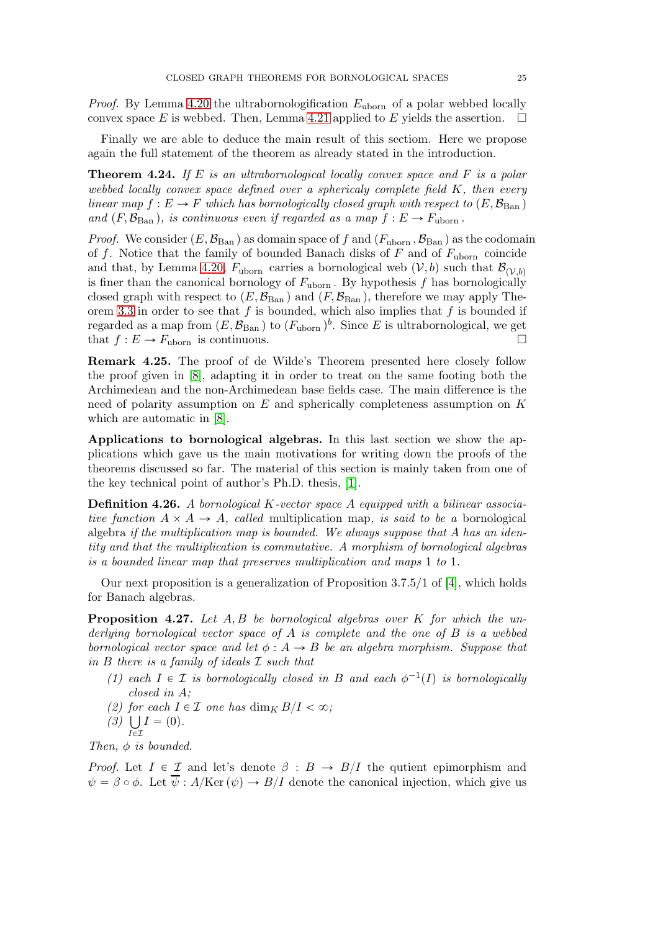*Proof.* By Lemma [4.20](#page-22-1) the ultrabornologification  $E_{\text{uborn}}$  of a polar webbed locally convex space E is webbed. Then, Lemma [4.21](#page-23-0) applied to E yields the assertion.  $\square$ 

Finally we are able to deduce the main result of this sectiom. Here we propose again the full statement of the theorem as already stated in the introduction.

**Theorem 4.24.** If E is an ultrabornological locally convex space and F is a polar webbed locally convex space defined over a sphericaly complete field K, then every linear map  $f : E \to F$  which has bornologically closed graph with respect to  $(E, \mathcal{B}_{\text{Ban}})$ and  $(F,\mathcal{B}_{\text{Ban}})$ , is continuous even if regarded as a map  $f : E \to F_{\text{uborn}}$ .

*Proof.* We consider  $(E,\mathcal{B}_{\text{Ban}})$  as domain space of f and  $(F_{\text{uborn}} ,\mathcal{B}_{\text{Ban}})$  as the codomain of f. Notice that the family of bounded Banach disks of F and of  $F_{\text{uborn}}$  coincide and that, by Lemma [4.20,](#page-22-1)  $F_{\text{uborn}}$  carries a bornological web  $(V, b)$  such that  $\mathcal{B}_{(V, b)}$ is finer than the canonical bornology of  $F_{\text{uborn}}$ . By hypothesis f has bornologically closed graph with respect to  $(E,\mathcal{B}_{\operatorname{Ban}})$  and  $(F,\mathcal{B}_{\operatorname{Ban}})$ , therefore we may apply The-orem [3.3](#page-16-0) in order to see that  $f$  is bounded, which also implies that  $f$  is bounded if regarded as a map from  $(E,\mathcal{B}_{\operatorname{Ban}})$  to  $(F_{\operatorname{uborn}})^b$ . Since E is ultrabornological, we get that  $f : E \to F_{\text{uborn}}$  is continuous.

Remark 4.25. The proof of de Wilde's Theorem presented here closely follow the proof given in [\[8\]](#page-26-6), adapting it in order to treat on the same footing both the Archimedean and the non-Archimedean base fields case. The main difference is the need of polarity assumption on  $E$  and spherically completeness assumption on  $K$ which are automatic in [\[8\]](#page-26-6).

Applications to bornological algebras. In this last section we show the applications which gave us the main motivations for writing down the proofs of the theorems discussed so far. The material of this section is mainly taken from one of the key technical point of author's Ph.D. thesis, [\[1\]](#page-26-0).

Definition 4.26. A bornological K-vector space A equipped with a bilinear associative function  $A \times A \rightarrow A$ , called multiplication map, is said to be a bornological algebra if the multiplication map is bounded. We always suppose that A has an identity and that the multiplication is commutative. A morphism of bornological algebras is a bounded linear map that preserves multiplication and maps 1 to 1.

Our next proposition is a generalization of Proposition  $3.7.5/1$  of [\[4\]](#page-26-11), which holds for Banach algebras.

<span id="page-24-0"></span>**Proposition 4.27.** Let  $A, B$  be bornological algebras over  $K$  for which the underlying bornological vector space of A is complete and the one of B is a webbed bornological vector space and let  $\phi : A \rightarrow B$  be an algebra morphism. Suppose that in  $B$  there is a family of ideals  $\mathcal I$  such that

- (1) each  $I \in \mathcal{I}$  is bornologically closed in B and each  $\phi^{-1}(I)$  is bornologically closed in A;
- (2) for each  $I \in \mathcal{I}$  one has  $\dim_K B/I < \infty$ ;
- $(3)$  U  $I = (0).$

 $I\bar{\in}\mathcal{I}$ Then,  $\phi$  is bounded.

*Proof.* Let  $I \in \mathcal{I}$  and let's denote  $\beta : B \to B/I$  the qutient epimorphism and  $\psi = \beta \circ \phi$ . Let  $\overline{\psi} : A/{\rm Ker}(\psi) \to B/I$  denote the canonical injection, which give us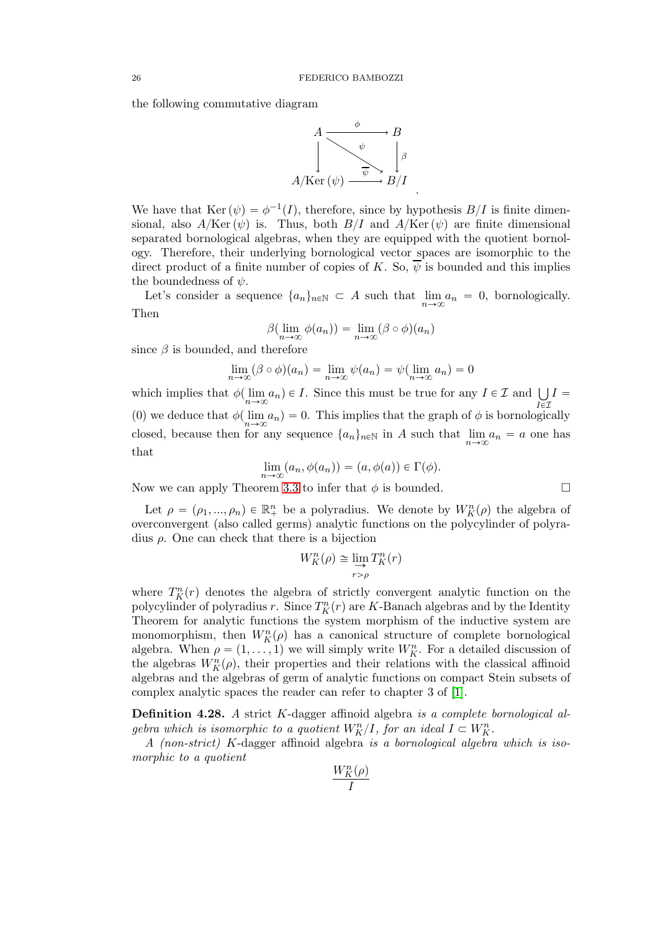the following commutative diagram



We have that Ker  $(\psi) = \phi^{-1}(I)$ , therefore, since by hypothesis  $B/I$  is finite dimensional, also  $A/{\rm Ker}(\psi)$  is. Thus, both  $B/I$  and  $A/{\rm Ker}(\psi)$  are finite dimensional separated bornological algebras, when they are equipped with the quotient bornology. Therefore, their underlying bornological vector spaces are isomorphic to the direct product of a finite number of copies of K. So,  $\psi$  is bounded and this implies the boundedness of  $\psi$ .

Let's consider a sequence  $\{a_n\}_{n\in\mathbb{N}}\subset A$  such that  $\lim_{n\to\infty}a_n=0$ , bornologically. Then

$$
\beta(\lim_{n\to\infty}\phi(a_n)) = \lim_{n\to\infty}(\beta\circ\phi)(a_n)
$$

since  $\beta$  is bounded, and therefore

$$
\lim_{n \to \infty} (\beta \circ \phi)(a_n) = \lim_{n \to \infty} \psi(a_n) = \psi(\lim_{n \to \infty} a_n) = 0
$$

which implies that  $\phi(\lim_{n\to\infty}a_n)\in I$ . Since this must be true for any  $I\in\mathcal{I}$  and  $\bigcup_{I\in\mathcal{I}}$  $\bar{l}\in\mathcal{I}$  $I =$ (0) we deduce that  $\phi(\lim_{n\to\infty}a_n)=0$ . This implies that the graph of  $\phi$  is bornologically closed, because then for any sequence  $\{a_n\}_{n\in\mathbb{N}}$  in A such that  $\lim_{n\to\infty}a_n=a$  one has that

$$
\lim_{n \to \infty} (a_n, \phi(a_n)) = (a, \phi(a)) \in \Gamma(\phi).
$$

Now we can apply Theorem [3.3](#page-16-0) to infer that  $\phi$  is bounded.

Let  $\rho = (\rho_1, ..., \rho_n) \in \mathbb{R}^n_+$  be a polyradius. We denote by  $W_K^n(\rho)$  the algebra of overconvergent (also called germs) analytic functions on the polycylinder of polyradius ρ. One can check that there is a bijection

$$
W_K^n(\rho) \cong \lim_{r > \rho} T_K^n(r)
$$

where  $T_K^n(r)$  denotes the algebra of strictly convergent analytic function on the polycylinder of polyradius r. Since  $T_K^n(r)$  are K-Banach algebras and by the Identity Theorem for analytic functions the system morphism of the inductive system are monomorphism, then  $W_K^n(\rho)$  has a canonical structure of complete bornological algebra. When  $\rho = (1, \ldots, 1)$  we will simply write  $W_K^n$ . For a detailed discussion of the algebras  $W_K^n(\rho)$ , their properties and their relations with the classical affinoid algebras and the algebras of germ of analytic functions on compact Stein subsets of complex analytic spaces the reader can refer to chapter 3 of [\[1\]](#page-26-0).

Definition 4.28. A strict K-dagger affinoid algebra is a complete bornological algebra which is isomorphic to a quotient  $W_K^n/I$ , for an ideal  $I \subset W_K^n$ .

A (non-strict) K-dagger affinoid algebra is a bornological algebra which is isomorphic to a quotient

$$
\frac{W_K^n(\rho)}{I}
$$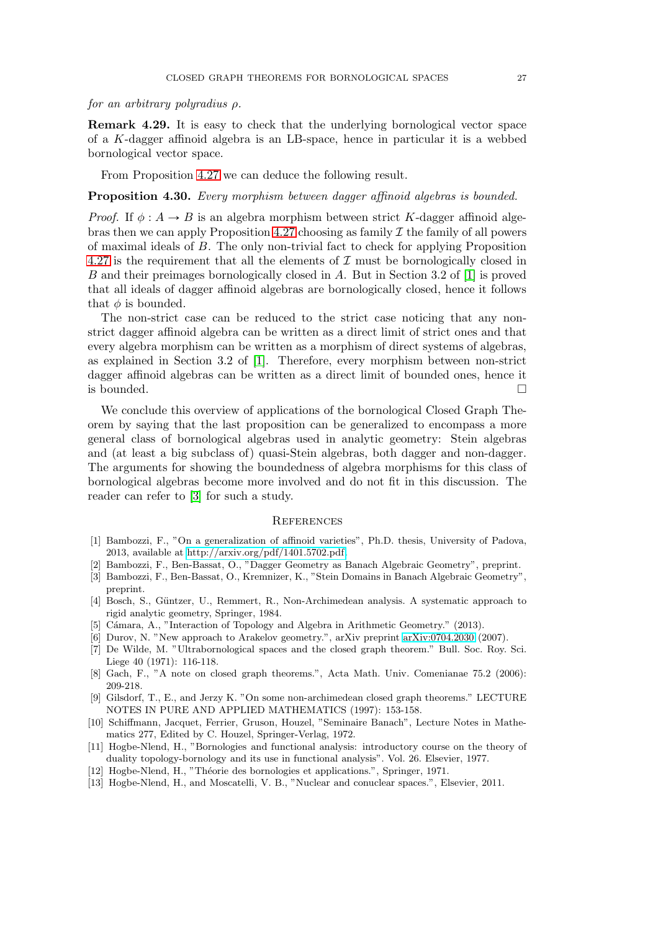## for an arbitrary polyradius ρ.

Remark 4.29. It is easy to check that the underlying bornological vector space of a K-dagger affinoid algebra is an LB-space, hence in particular it is a webbed bornological vector space.

From Proposition [4.27](#page-24-0) we can deduce the following result.

#### Proposition 4.30. Every morphism between dagger affinoid algebras is bounded.

*Proof.* If  $\phi : A \rightarrow B$  is an algebra morphism between strict K-dagger affinoid alge-bras then we can apply Proposition [4.27](#page-24-0) choosing as family  $\mathcal I$  the family of all powers of maximal ideals of B. The only non-trivial fact to check for applying Proposition [4.27](#page-24-0) is the requirement that all the elements of  $\mathcal I$  must be bornologically closed in B and their preimages bornologically closed in A. But in Section 3.2 of [\[1\]](#page-26-0) is proved that all ideals of dagger affinoid algebras are bornologically closed, hence it follows that  $\phi$  is bounded.

The non-strict case can be reduced to the strict case noticing that any nonstrict dagger affinoid algebra can be written as a direct limit of strict ones and that every algebra morphism can be written as a morphism of direct systems of algebras, as explained in Section 3.2 of [\[1\]](#page-26-0). Therefore, every morphism between non-strict dagger affinoid algebras can be written as a direct limit of bounded ones, hence it is bounded.  $\Box$ 

We conclude this overview of applications of the bornological Closed Graph Theorem by saying that the last proposition can be generalized to encompass a more general class of bornological algebras used in analytic geometry: Stein algebras and (at least a big subclass of) quasi-Stein algebras, both dagger and non-dagger. The arguments for showing the boundedness of algebra morphisms for this class of bornological algebras become more involved and do not fit in this discussion. The reader can refer to [\[3\]](#page-26-2) for such a study.

#### **REFERENCES**

- <span id="page-26-0"></span>[1] Bambozzi, F., "On a generalization of affinoid varieties", Ph.D. thesis, University of Padova, 2013, available at [http://arxiv.org/pdf/1401.5702.pdf.](http://arxiv.org/pdf/1401.5702.pdf)
- <span id="page-26-2"></span><span id="page-26-1"></span>[2] Bambozzi, F., Ben-Bassat, O., "Dagger Geometry as Banach Algebraic Geometry", preprint.
- [3] Bambozzi, F., Ben-Bassat, O., Kremnizer, K., "Stein Domains in Banach Algebraic Geometry", preprint.
- <span id="page-26-11"></span>[4] Bosch, S., Güntzer, U., Remmert, R., Non-Archimedean analysis. A systematic approach to rigid analytic geometry, Springer, 1984.
- <span id="page-26-10"></span><span id="page-26-3"></span>[5] Cámara, A., "Interaction of Topology and Algebra in Arithmetic Geometry." (2013).
- <span id="page-26-5"></span>[6] Durov, N. "New approach to Arakelov geometry.", arXiv preprint [arXiv:0704.2030](http://arxiv.org/abs/0704.2030) (2007).
- [7] De Wilde, M. "Ultrabornological spaces and the closed graph theorem." Bull. Soc. Roy. Sci. Liege 40 (1971): 116-118.
- <span id="page-26-6"></span>[8] Gach, F., "A note on closed graph theorems.", Acta Math. Univ. Comenianae 75.2 (2006): 209-218.
- [9] Gilsdorf, T., E., and Jerzy K. "On some non-archimedean closed graph theorems." LECTURE NOTES IN PURE AND APPLIED MATHEMATICS (1997): 153-158.
- <span id="page-26-4"></span>[10] Schiffmann, Jacquet, Ferrier, Gruson, Houzel, "Seminaire Banach", Lecture Notes in Mathematics 277, Edited by C. Houzel, Springer-Verlag, 1972.
- <span id="page-26-7"></span>[11] Hogbe-Nlend, H., "Bornologies and functional analysis: introductory course on the theory of duality topology-bornology and its use in functional analysis". Vol. 26. Elsevier, 1977.
- <span id="page-26-9"></span><span id="page-26-8"></span>[12] Hogbe-Nlend, H., "Théorie des bornologies et applications.", Springer, 1971.
- [13] Hogbe-Nlend, H., and Moscatelli, V. B., "Nuclear and conuclear spaces.", Elsevier, 2011.